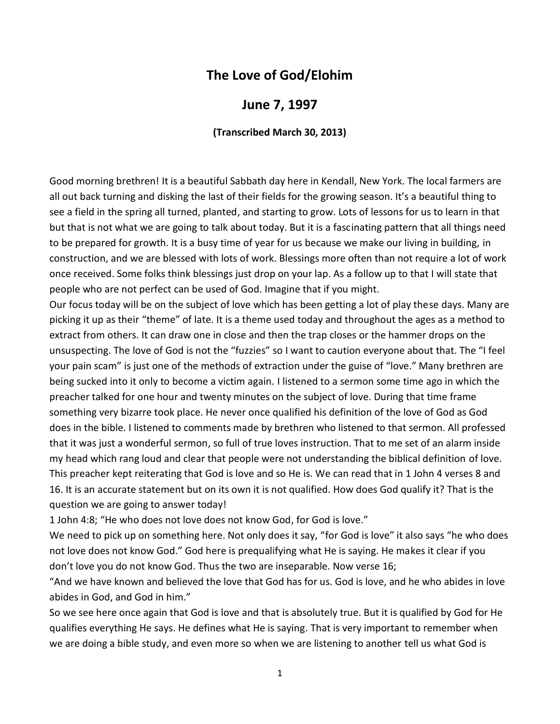## **The Love of God/Elohim**

## **June 7, 1997**

## **(Transcribed March 30, 2013)**

Good morning brethren! It is a beautiful Sabbath day here in Kendall, New York. The local farmers are all out back turning and disking the last of their fields for the growing season. It's a beautiful thing to see a field in the spring all turned, planted, and starting to grow. Lots of lessons for us to learn in that but that is not what we are going to talk about today. But it is a fascinating pattern that all things need to be prepared for growth. It is a busy time of year for us because we make our living in building, in construction, and we are blessed with lots of work. Blessings more often than not require a lot of work once received. Some folks think blessings just drop on your lap. As a follow up to that I will state that people who are not perfect can be used of God. Imagine that if you might.

Our focus today will be on the subject of love which has been getting a lot of play these days. Many are picking it up as their "theme" of late. It is a theme used today and throughout the ages as a method to extract from others. It can draw one in close and then the trap closes or the hammer drops on the unsuspecting. The love of God is not the "fuzzies" so I want to caution everyone about that. The "I feel your pain scam" is just one of the methods of extraction under the guise of "love." Many brethren are being sucked into it only to become a victim again. I listened to a sermon some time ago in which the preacher talked for one hour and twenty minutes on the subject of love. During that time frame something very bizarre took place. He never once qualified his definition of the love of God as God does in the bible. I listened to comments made by brethren who listened to that sermon. All professed that it was just a wonderful sermon, so full of true loves instruction. That to me set of an alarm inside my head which rang loud and clear that people were not understanding the biblical definition of love. This preacher kept reiterating that God is love and so He is. We can read that in 1 John 4 verses 8 and 16. It is an accurate statement but on its own it is not qualified. How does God qualify it? That is the question we are going to answer today!

1 John 4:8; "He who does not love does not know God, for God is love."

We need to pick up on something here. Not only does it say, "for God is love" it also says "he who does not love does not know God." God here is prequalifying what He is saying. He makes it clear if you don't love you do not know God. Thus the two are inseparable. Now verse 16;

"And we have known and believed the love that God has for us. God is love, and he who abides in love abides in God, and God in him."

So we see here once again that God is love and that is absolutely true. But it is qualified by God for He qualifies everything He says. He defines what He is saying. That is very important to remember when we are doing a bible study, and even more so when we are listening to another tell us what God is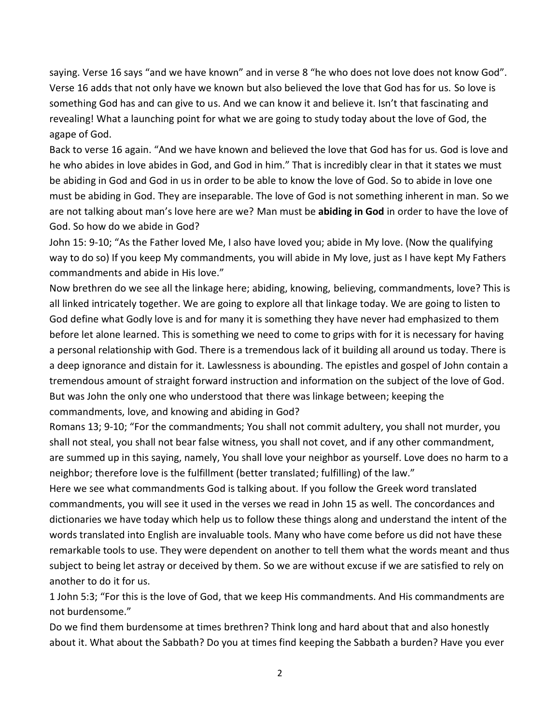saying. Verse 16 says "and we have known" and in verse 8 "he who does not love does not know God". Verse 16 adds that not only have we known but also believed the love that God has for us. So love is something God has and can give to us. And we can know it and believe it. Isn't that fascinating and revealing! What a launching point for what we are going to study today about the love of God, the agape of God.

Back to verse 16 again. "And we have known and believed the love that God has for us. God is love and he who abides in love abides in God, and God in him." That is incredibly clear in that it states we must be abiding in God and God in us in order to be able to know the love of God. So to abide in love one must be abiding in God. They are inseparable. The love of God is not something inherent in man. So we are not talking about man's love here are we? Man must be **abiding in God** in order to have the love of God. So how do we abide in God?

John 15: 9-10; "As the Father loved Me, I also have loved you; abide in My love. (Now the qualifying way to do so) If you keep My commandments, you will abide in My love, just as I have kept My Fathers commandments and abide in His love."

Now brethren do we see all the linkage here; abiding, knowing, believing, commandments, love? This is all linked intricately together. We are going to explore all that linkage today. We are going to listen to God define what Godly love is and for many it is something they have never had emphasized to them before let alone learned. This is something we need to come to grips with for it is necessary for having a personal relationship with God. There is a tremendous lack of it building all around us today. There is a deep ignorance and distain for it. Lawlessness is abounding. The epistles and gospel of John contain a tremendous amount of straight forward instruction and information on the subject of the love of God. But was John the only one who understood that there was linkage between; keeping the commandments, love, and knowing and abiding in God?

Romans 13; 9-10; "For the commandments; You shall not commit adultery, you shall not murder, you shall not steal, you shall not bear false witness, you shall not covet, and if any other commandment, are summed up in this saying, namely, You shall love your neighbor as yourself. Love does no harm to a neighbor; therefore love is the fulfillment (better translated; fulfilling) of the law."

Here we see what commandments God is talking about. If you follow the Greek word translated commandments, you will see it used in the verses we read in John 15 as well. The concordances and dictionaries we have today which help us to follow these things along and understand the intent of the words translated into English are invaluable tools. Many who have come before us did not have these remarkable tools to use. They were dependent on another to tell them what the words meant and thus subject to being let astray or deceived by them. So we are without excuse if we are satisfied to rely on another to do it for us.

1 John 5:3; "For this is the love of God, that we keep His commandments. And His commandments are not burdensome."

Do we find them burdensome at times brethren? Think long and hard about that and also honestly about it. What about the Sabbath? Do you at times find keeping the Sabbath a burden? Have you ever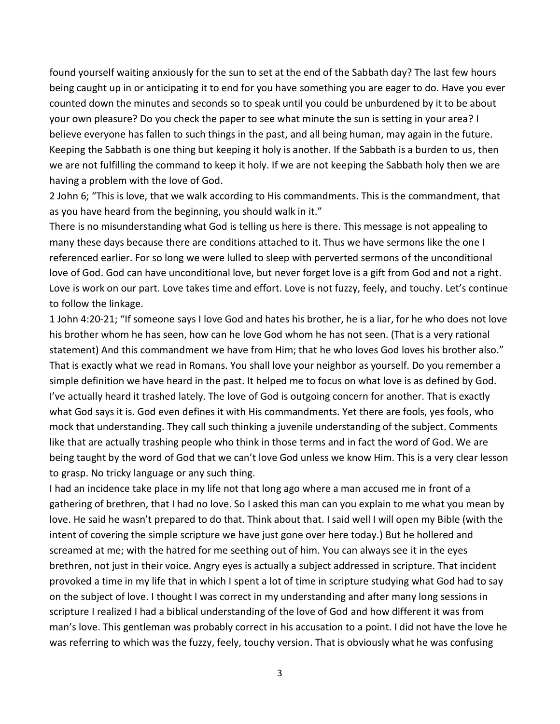found yourself waiting anxiously for the sun to set at the end of the Sabbath day? The last few hours being caught up in or anticipating it to end for you have something you are eager to do. Have you ever counted down the minutes and seconds so to speak until you could be unburdened by it to be about your own pleasure? Do you check the paper to see what minute the sun is setting in your area? I believe everyone has fallen to such things in the past, and all being human, may again in the future. Keeping the Sabbath is one thing but keeping it holy is another. If the Sabbath is a burden to us, then we are not fulfilling the command to keep it holy. If we are not keeping the Sabbath holy then we are having a problem with the love of God.

2 John 6; "This is love, that we walk according to His commandments. This is the commandment, that as you have heard from the beginning, you should walk in it."

There is no misunderstanding what God is telling us here is there. This message is not appealing to many these days because there are conditions attached to it. Thus we have sermons like the one I referenced earlier. For so long we were lulled to sleep with perverted sermons of the unconditional love of God. God can have unconditional love, but never forget love is a gift from God and not a right. Love is work on our part. Love takes time and effort. Love is not fuzzy, feely, and touchy. Let's continue to follow the linkage.

1 John 4:20-21; "If someone says I love God and hates his brother, he is a liar, for he who does not love his brother whom he has seen, how can he love God whom he has not seen. (That is a very rational statement) And this commandment we have from Him; that he who loves God loves his brother also." That is exactly what we read in Romans. You shall love your neighbor as yourself. Do you remember a simple definition we have heard in the past. It helped me to focus on what love is as defined by God. I've actually heard it trashed lately. The love of God is outgoing concern for another. That is exactly what God says it is. God even defines it with His commandments. Yet there are fools, yes fools, who mock that understanding. They call such thinking a juvenile understanding of the subject. Comments like that are actually trashing people who think in those terms and in fact the word of God. We are being taught by the word of God that we can't love God unless we know Him. This is a very clear lesson to grasp. No tricky language or any such thing.

I had an incidence take place in my life not that long ago where a man accused me in front of a gathering of brethren, that I had no love. So I asked this man can you explain to me what you mean by love. He said he wasn't prepared to do that. Think about that. I said well I will open my Bible (with the intent of covering the simple scripture we have just gone over here today.) But he hollered and screamed at me; with the hatred for me seething out of him. You can always see it in the eyes brethren, not just in their voice. Angry eyes is actually a subject addressed in scripture. That incident provoked a time in my life that in which I spent a lot of time in scripture studying what God had to say on the subject of love. I thought I was correct in my understanding and after many long sessions in scripture I realized I had a biblical understanding of the love of God and how different it was from man's love. This gentleman was probably correct in his accusation to a point. I did not have the love he was referring to which was the fuzzy, feely, touchy version. That is obviously what he was confusing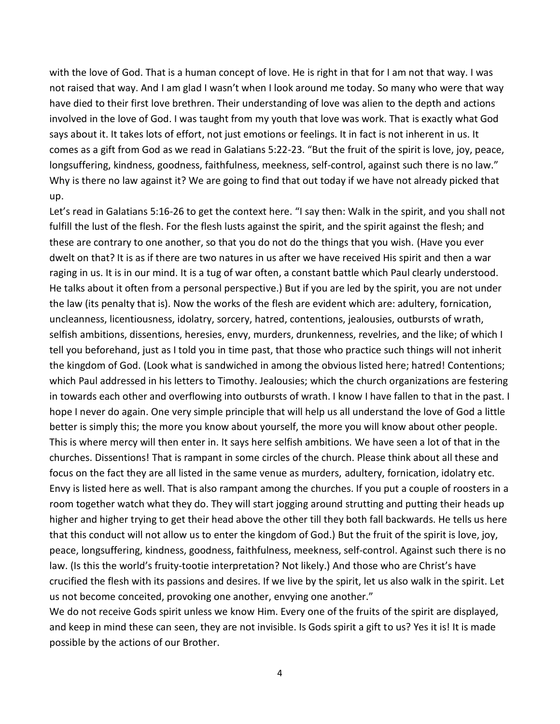with the love of God. That is a human concept of love. He is right in that for I am not that way. I was not raised that way. And I am glad I wasn't when I look around me today. So many who were that way have died to their first love brethren. Their understanding of love was alien to the depth and actions involved in the love of God. I was taught from my youth that love was work. That is exactly what God says about it. It takes lots of effort, not just emotions or feelings. It in fact is not inherent in us. It comes as a gift from God as we read in Galatians 5:22-23. "But the fruit of the spirit is love, joy, peace, longsuffering, kindness, goodness, faithfulness, meekness, self-control, against such there is no law." Why is there no law against it? We are going to find that out today if we have not already picked that up.

Let's read in Galatians 5:16-26 to get the context here. "I say then: Walk in the spirit, and you shall not fulfill the lust of the flesh. For the flesh lusts against the spirit, and the spirit against the flesh; and these are contrary to one another, so that you do not do the things that you wish. (Have you ever dwelt on that? It is as if there are two natures in us after we have received His spirit and then a war raging in us. It is in our mind. It is a tug of war often, a constant battle which Paul clearly understood. He talks about it often from a personal perspective.) But if you are led by the spirit, you are not under the law (its penalty that is). Now the works of the flesh are evident which are: adultery, fornication, uncleanness, licentiousness, idolatry, sorcery, hatred, contentions, jealousies, outbursts of wrath, selfish ambitions, dissentions, heresies, envy, murders, drunkenness, revelries, and the like; of which I tell you beforehand, just as I told you in time past, that those who practice such things will not inherit the kingdom of God. (Look what is sandwiched in among the obvious listed here; hatred! Contentions; which Paul addressed in his letters to Timothy. Jealousies; which the church organizations are festering in towards each other and overflowing into outbursts of wrath. I know I have fallen to that in the past. I hope I never do again. One very simple principle that will help us all understand the love of God a little better is simply this; the more you know about yourself, the more you will know about other people. This is where mercy will then enter in. It says here selfish ambitions. We have seen a lot of that in the churches. Dissentions! That is rampant in some circles of the church. Please think about all these and focus on the fact they are all listed in the same venue as murders, adultery, fornication, idolatry etc. Envy is listed here as well. That is also rampant among the churches. If you put a couple of roosters in a room together watch what they do. They will start jogging around strutting and putting their heads up higher and higher trying to get their head above the other till they both fall backwards. He tells us here that this conduct will not allow us to enter the kingdom of God.) But the fruit of the spirit is love, joy, peace, longsuffering, kindness, goodness, faithfulness, meekness, self-control. Against such there is no law. (Is this the world's fruity-tootie interpretation? Not likely.) And those who are Christ's have crucified the flesh with its passions and desires. If we live by the spirit, let us also walk in the spirit. Let us not become conceited, provoking one another, envying one another."

We do not receive Gods spirit unless we know Him. Every one of the fruits of the spirit are displayed, and keep in mind these can seen, they are not invisible. Is Gods spirit a gift to us? Yes it is! It is made possible by the actions of our Brother.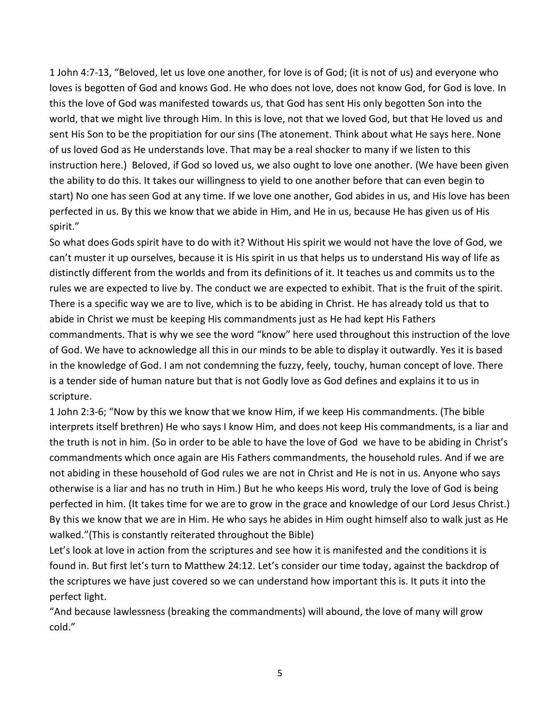1 John 4:7-13, "Beloved, let us love one another, for love is of God; (it is not of us) and everyone who loves is begotten of God and knows God. He who does not love, does not know God, for God is love. In this the love of God was manifested towards us, that God has sent His only begotten Son into the world, that we might live through Him. In this is love, not that we loved God, but that He loved us and sent His Son to be the propitiation for our sins (The atonement. Think about what He says here. None of us loved God as He understands love. That may be a real shocker to many if we listen to this instruction here.) Beloved, if God so loved us, we also ought to love one another. (We have been given the ability to do this. It takes our willingness to yield to one another before that can even begin to start) No one has seen God at any time. If we love one another, God abides in us, and His love has been perfected in us. By this we know that we abide in Him, and He in us, because He has given us of His spirit."

So what does Gods spirit have to do with it? Without His spirit we would not have the love of God, we can't muster it up ourselves, because it is His spirit in us that helps us to understand His way of life as distinctly different from the worlds and from its definitions of it. It teaches us and commits us to the rules we are expected to live by. The conduct we are expected to exhibit. That is the fruit of the spirit. There is a specific way we are to live, which is to be abiding in Christ. He has already told us that to abide in Christ we must be keeping His commandments just as He had kept His Fathers commandments. That is why we see the word "know" here used throughout this instruction of the love of God. We have to acknowledge all this in our minds to be able to display it outwardly. Yes it is based in the knowledge of God. I am not condemning the fuzzy, feely, touchy, human concept of love. There is a tender side of human nature but that is not Godly love as God defines and explains it to us in scripture.

1 John 2:3-6; "Now by this we know that we know Him, if we keep His commandments. (The bible interprets itself brethren) He who says I know Him, and does not keep His commandments, is a liar and the truth is not in him. (So in order to be able to have the love of God we have to be abiding in Christ's commandments which once again are His Fathers commandments, the household rules. And if we are not abiding in these household of God rules we are not in Christ and He is not in us. Anyone who says otherwise is a liar and has no truth in Him.) But he who keeps His word, truly the love of God is being perfected in him. (It takes time for we are to grow in the grace and knowledge of our Lord Jesus Christ.) By this we know that we are in Him. He who says he abides in Him ought himself also to walk just as He walked."(This is constantly reiterated throughout the Bible)

Let's look at love in action from the scriptures and see how it is manifested and the conditions it is found in. But first let's turn to Matthew 24:12. Let's consider our time today, against the backdrop of the scriptures we have just covered so we can understand how important this is. It puts it into the perfect light.

"And because lawlessness (breaking the commandments) will abound, the love of many will grow cold."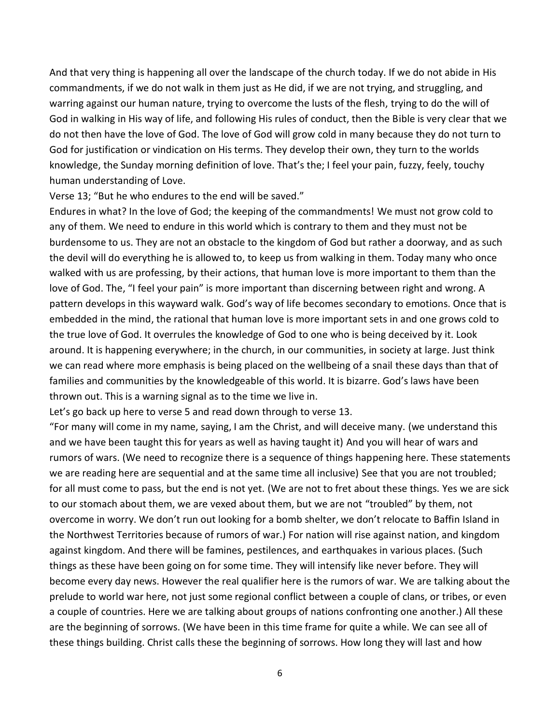And that very thing is happening all over the landscape of the church today. If we do not abide in His commandments, if we do not walk in them just as He did, if we are not trying, and struggling, and warring against our human nature, trying to overcome the lusts of the flesh, trying to do the will of God in walking in His way of life, and following His rules of conduct, then the Bible is very clear that we do not then have the love of God. The love of God will grow cold in many because they do not turn to God for justification or vindication on His terms. They develop their own, they turn to the worlds knowledge, the Sunday morning definition of love. That's the; I feel your pain, fuzzy, feely, touchy human understanding of Love.

Verse 13; "But he who endures to the end will be saved."

Endures in what? In the love of God; the keeping of the commandments! We must not grow cold to any of them. We need to endure in this world which is contrary to them and they must not be burdensome to us. They are not an obstacle to the kingdom of God but rather a doorway, and as such the devil will do everything he is allowed to, to keep us from walking in them. Today many who once walked with us are professing, by their actions, that human love is more important to them than the love of God. The, "I feel your pain" is more important than discerning between right and wrong. A pattern develops in this wayward walk. God's way of life becomes secondary to emotions. Once that is embedded in the mind, the rational that human love is more important sets in and one grows cold to the true love of God. It overrules the knowledge of God to one who is being deceived by it. Look around. It is happening everywhere; in the church, in our communities, in society at large. Just think we can read where more emphasis is being placed on the wellbeing of a snail these days than that of families and communities by the knowledgeable of this world. It is bizarre. God's laws have been thrown out. This is a warning signal as to the time we live in.

Let's go back up here to verse 5 and read down through to verse 13.

"For many will come in my name, saying, I am the Christ, and will deceive many. (we understand this and we have been taught this for years as well as having taught it) And you will hear of wars and rumors of wars. (We need to recognize there is a sequence of things happening here. These statements we are reading here are sequential and at the same time all inclusive) See that you are not troubled; for all must come to pass, but the end is not yet. (We are not to fret about these things. Yes we are sick to our stomach about them, we are vexed about them, but we are not "troubled" by them, not overcome in worry. We don't run out looking for a bomb shelter, we don't relocate to Baffin Island in the Northwest Territories because of rumors of war.) For nation will rise against nation, and kingdom against kingdom. And there will be famines, pestilences, and earthquakes in various places. (Such things as these have been going on for some time. They will intensify like never before. They will become every day news. However the real qualifier here is the rumors of war. We are talking about the prelude to world war here, not just some regional conflict between a couple of clans, or tribes, or even a couple of countries. Here we are talking about groups of nations confronting one another.) All these are the beginning of sorrows. (We have been in this time frame for quite a while. We can see all of these things building. Christ calls these the beginning of sorrows. How long they will last and how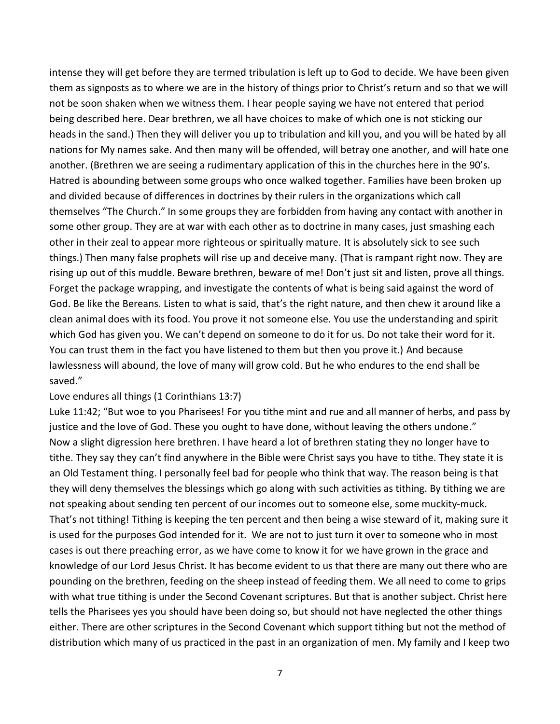intense they will get before they are termed tribulation is left up to God to decide. We have been given them as signposts as to where we are in the history of things prior to Christ's return and so that we will not be soon shaken when we witness them. I hear people saying we have not entered that period being described here. Dear brethren, we all have choices to make of which one is not sticking our heads in the sand.) Then they will deliver you up to tribulation and kill you, and you will be hated by all nations for My names sake. And then many will be offended, will betray one another, and will hate one another. (Brethren we are seeing a rudimentary application of this in the churches here in the 90's. Hatred is abounding between some groups who once walked together. Families have been broken up and divided because of differences in doctrines by their rulers in the organizations which call themselves "The Church." In some groups they are forbidden from having any contact with another in some other group. They are at war with each other as to doctrine in many cases, just smashing each other in their zeal to appear more righteous or spiritually mature. It is absolutely sick to see such things.) Then many false prophets will rise up and deceive many. (That is rampant right now. They are rising up out of this muddle. Beware brethren, beware of me! Don't just sit and listen, prove all things. Forget the package wrapping, and investigate the contents of what is being said against the word of God. Be like the Bereans. Listen to what is said, that's the right nature, and then chew it around like a clean animal does with its food. You prove it not someone else. You use the understanding and spirit which God has given you. We can't depend on someone to do it for us. Do not take their word for it. You can trust them in the fact you have listened to them but then you prove it.) And because lawlessness will abound, the love of many will grow cold. But he who endures to the end shall be saved."

## Love endures all things (1 Corinthians 13:7)

Luke 11:42; "But woe to you Pharisees! For you tithe mint and rue and all manner of herbs, and pass by justice and the love of God. These you ought to have done, without leaving the others undone." Now a slight digression here brethren. I have heard a lot of brethren stating they no longer have to tithe. They say they can't find anywhere in the Bible were Christ says you have to tithe. They state it is an Old Testament thing. I personally feel bad for people who think that way. The reason being is that they will deny themselves the blessings which go along with such activities as tithing. By tithing we are not speaking about sending ten percent of our incomes out to someone else, some muckity-muck. That's not tithing! Tithing is keeping the ten percent and then being a wise steward of it, making sure it is used for the purposes God intended for it. We are not to just turn it over to someone who in most cases is out there preaching error, as we have come to know it for we have grown in the grace and knowledge of our Lord Jesus Christ. It has become evident to us that there are many out there who are pounding on the brethren, feeding on the sheep instead of feeding them. We all need to come to grips with what true tithing is under the Second Covenant scriptures. But that is another subject. Christ here tells the Pharisees yes you should have been doing so, but should not have neglected the other things either. There are other scriptures in the Second Covenant which support tithing but not the method of distribution which many of us practiced in the past in an organization of men. My family and I keep two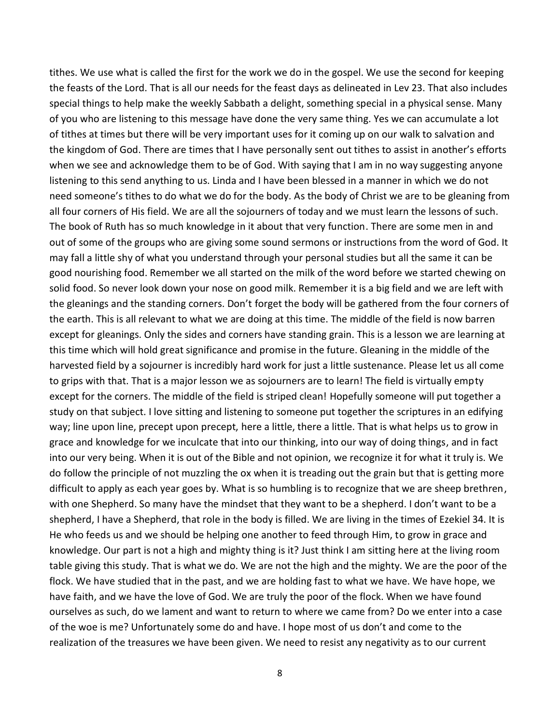tithes. We use what is called the first for the work we do in the gospel. We use the second for keeping the feasts of the Lord. That is all our needs for the feast days as delineated in Lev 23. That also includes special things to help make the weekly Sabbath a delight, something special in a physical sense. Many of you who are listening to this message have done the very same thing. Yes we can accumulate a lot of tithes at times but there will be very important uses for it coming up on our walk to salvation and the kingdom of God. There are times that I have personally sent out tithes to assist in another's efforts when we see and acknowledge them to be of God. With saying that I am in no way suggesting anyone listening to this send anything to us. Linda and I have been blessed in a manner in which we do not need someone's tithes to do what we do for the body. As the body of Christ we are to be gleaning from all four corners of His field. We are all the sojourners of today and we must learn the lessons of such. The book of Ruth has so much knowledge in it about that very function. There are some men in and out of some of the groups who are giving some sound sermons or instructions from the word of God. It may fall a little shy of what you understand through your personal studies but all the same it can be good nourishing food. Remember we all started on the milk of the word before we started chewing on solid food. So never look down your nose on good milk. Remember it is a big field and we are left with the gleanings and the standing corners. Don't forget the body will be gathered from the four corners of the earth. This is all relevant to what we are doing at this time. The middle of the field is now barren except for gleanings. Only the sides and corners have standing grain. This is a lesson we are learning at this time which will hold great significance and promise in the future. Gleaning in the middle of the harvested field by a sojourner is incredibly hard work for just a little sustenance. Please let us all come to grips with that. That is a major lesson we as sojourners are to learn! The field is virtually empty except for the corners. The middle of the field is striped clean! Hopefully someone will put together a study on that subject. I love sitting and listening to someone put together the scriptures in an edifying way; line upon line, precept upon precept, here a little, there a little. That is what helps us to grow in grace and knowledge for we inculcate that into our thinking, into our way of doing things, and in fact into our very being. When it is out of the Bible and not opinion, we recognize it for what it truly is. We do follow the principle of not muzzling the ox when it is treading out the grain but that is getting more difficult to apply as each year goes by. What is so humbling is to recognize that we are sheep brethren, with one Shepherd. So many have the mindset that they want to be a shepherd. I don't want to be a shepherd, I have a Shepherd, that role in the body is filled. We are living in the times of Ezekiel 34. It is He who feeds us and we should be helping one another to feed through Him, to grow in grace and knowledge. Our part is not a high and mighty thing is it? Just think I am sitting here at the living room table giving this study. That is what we do. We are not the high and the mighty. We are the poor of the flock. We have studied that in the past, and we are holding fast to what we have. We have hope, we have faith, and we have the love of God. We are truly the poor of the flock. When we have found ourselves as such, do we lament and want to return to where we came from? Do we enter into a case of the woe is me? Unfortunately some do and have. I hope most of us don't and come to the realization of the treasures we have been given. We need to resist any negativity as to our current

8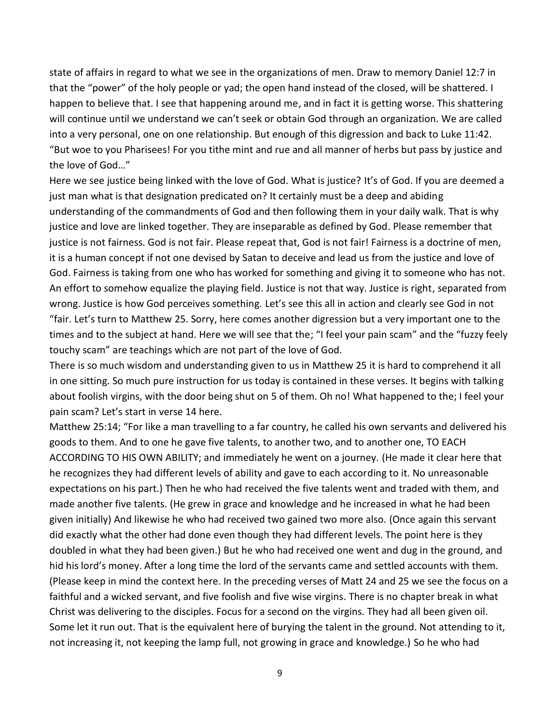state of affairs in regard to what we see in the organizations of men. Draw to memory Daniel 12:7 in that the "power" of the holy people or yad; the open hand instead of the closed, will be shattered. I happen to believe that. I see that happening around me, and in fact it is getting worse. This shattering will continue until we understand we can't seek or obtain God through an organization. We are called into a very personal, one on one relationship. But enough of this digression and back to Luke 11:42. "But woe to you Pharisees! For you tithe mint and rue and all manner of herbs but pass by justice and the love of God…"

Here we see justice being linked with the love of God. What is justice? It's of God. If you are deemed a just man what is that designation predicated on? It certainly must be a deep and abiding understanding of the commandments of God and then following them in your daily walk. That is why justice and love are linked together. They are inseparable as defined by God. Please remember that justice is not fairness. God is not fair. Please repeat that, God is not fair! Fairness is a doctrine of men, it is a human concept if not one devised by Satan to deceive and lead us from the justice and love of God. Fairness is taking from one who has worked for something and giving it to someone who has not. An effort to somehow equalize the playing field. Justice is not that way. Justice is right, separated from wrong. Justice is how God perceives something. Let's see this all in action and clearly see God in not "fair. Let's turn to Matthew 25. Sorry, here comes another digression but a very important one to the times and to the subject at hand. Here we will see that the; "I feel your pain scam" and the "fuzzy feely touchy scam" are teachings which are not part of the love of God.

There is so much wisdom and understanding given to us in Matthew 25 it is hard to comprehend it all in one sitting. So much pure instruction for us today is contained in these verses. It begins with talking about foolish virgins, with the door being shut on 5 of them. Oh no! What happened to the; I feel your pain scam? Let's start in verse 14 here.

Matthew 25:14; "For like a man travelling to a far country, he called his own servants and delivered his goods to them. And to one he gave five talents, to another two, and to another one, TO EACH ACCORDING TO HIS OWN ABILITY; and immediately he went on a journey. (He made it clear here that he recognizes they had different levels of ability and gave to each according to it. No unreasonable expectations on his part.) Then he who had received the five talents went and traded with them, and made another five talents. (He grew in grace and knowledge and he increased in what he had been given initially) And likewise he who had received two gained two more also. (Once again this servant did exactly what the other had done even though they had different levels. The point here is they doubled in what they had been given.) But he who had received one went and dug in the ground, and hid his lord's money. After a long time the lord of the servants came and settled accounts with them. (Please keep in mind the context here. In the preceding verses of Matt 24 and 25 we see the focus on a faithful and a wicked servant, and five foolish and five wise virgins. There is no chapter break in what Christ was delivering to the disciples. Focus for a second on the virgins. They had all been given oil. Some let it run out. That is the equivalent here of burying the talent in the ground. Not attending to it, not increasing it, not keeping the lamp full, not growing in grace and knowledge.) So he who had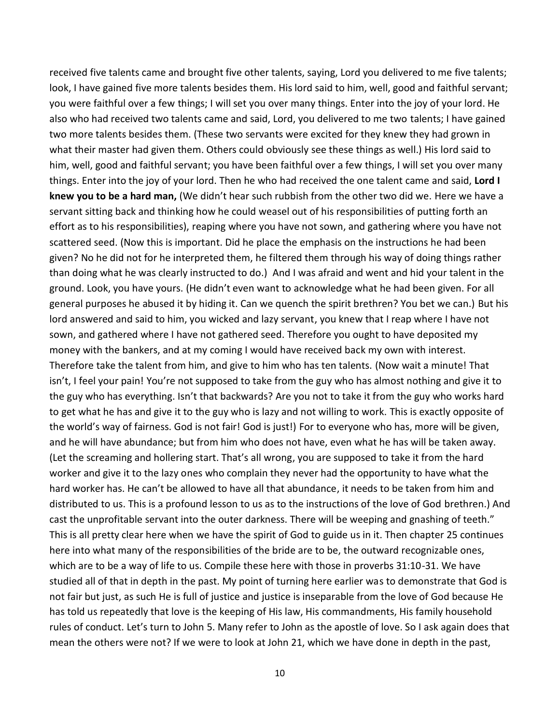received five talents came and brought five other talents, saying, Lord you delivered to me five talents; look, I have gained five more talents besides them. His lord said to him, well, good and faithful servant; you were faithful over a few things; I will set you over many things. Enter into the joy of your lord. He also who had received two talents came and said, Lord, you delivered to me two talents; I have gained two more talents besides them. (These two servants were excited for they knew they had grown in what their master had given them. Others could obviously see these things as well.) His lord said to him, well, good and faithful servant; you have been faithful over a few things, I will set you over many things. Enter into the joy of your lord. Then he who had received the one talent came and said, **Lord I knew you to be a hard man,** (We didn't hear such rubbish from the other two did we. Here we have a servant sitting back and thinking how he could weasel out of his responsibilities of putting forth an effort as to his responsibilities), reaping where you have not sown, and gathering where you have not scattered seed. (Now this is important. Did he place the emphasis on the instructions he had been given? No he did not for he interpreted them, he filtered them through his way of doing things rather than doing what he was clearly instructed to do.) And I was afraid and went and hid your talent in the ground. Look, you have yours. (He didn't even want to acknowledge what he had been given. For all general purposes he abused it by hiding it. Can we quench the spirit brethren? You bet we can.) But his lord answered and said to him, you wicked and lazy servant, you knew that I reap where I have not sown, and gathered where I have not gathered seed. Therefore you ought to have deposited my money with the bankers, and at my coming I would have received back my own with interest. Therefore take the talent from him, and give to him who has ten talents. (Now wait a minute! That isn't, I feel your pain! You're not supposed to take from the guy who has almost nothing and give it to the guy who has everything. Isn't that backwards? Are you not to take it from the guy who works hard to get what he has and give it to the guy who is lazy and not willing to work. This is exactly opposite of the world's way of fairness. God is not fair! God is just!) For to everyone who has, more will be given, and he will have abundance; but from him who does not have, even what he has will be taken away. (Let the screaming and hollering start. That's all wrong, you are supposed to take it from the hard worker and give it to the lazy ones who complain they never had the opportunity to have what the hard worker has. He can't be allowed to have all that abundance, it needs to be taken from him and distributed to us. This is a profound lesson to us as to the instructions of the love of God brethren.) And cast the unprofitable servant into the outer darkness. There will be weeping and gnashing of teeth." This is all pretty clear here when we have the spirit of God to guide us in it. Then chapter 25 continues here into what many of the responsibilities of the bride are to be, the outward recognizable ones, which are to be a way of life to us. Compile these here with those in proverbs 31:10-31. We have studied all of that in depth in the past. My point of turning here earlier was to demonstrate that God is not fair but just, as such He is full of justice and justice is inseparable from the love of God because He has told us repeatedly that love is the keeping of His law, His commandments, His family household rules of conduct. Let's turn to John 5. Many refer to John as the apostle of love. So I ask again does that mean the others were not? If we were to look at John 21, which we have done in depth in the past,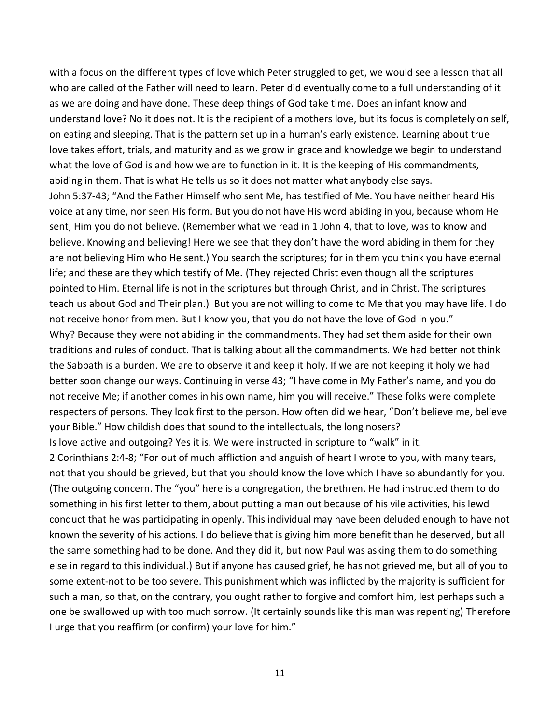with a focus on the different types of love which Peter struggled to get, we would see a lesson that all who are called of the Father will need to learn. Peter did eventually come to a full understanding of it as we are doing and have done. These deep things of God take time. Does an infant know and understand love? No it does not. It is the recipient of a mothers love, but its focus is completely on self, on eating and sleeping. That is the pattern set up in a human's early existence. Learning about true love takes effort, trials, and maturity and as we grow in grace and knowledge we begin to understand what the love of God is and how we are to function in it. It is the keeping of His commandments, abiding in them. That is what He tells us so it does not matter what anybody else says. John 5:37-43; "And the Father Himself who sent Me, has testified of Me. You have neither heard His voice at any time, nor seen His form. But you do not have His word abiding in you, because whom He sent, Him you do not believe. (Remember what we read in 1 John 4, that to love, was to know and believe. Knowing and believing! Here we see that they don't have the word abiding in them for they are not believing Him who He sent.) You search the scriptures; for in them you think you have eternal life; and these are they which testify of Me. (They rejected Christ even though all the scriptures pointed to Him. Eternal life is not in the scriptures but through Christ, and in Christ. The scriptures teach us about God and Their plan.) But you are not willing to come to Me that you may have life. I do not receive honor from men. But I know you, that you do not have the love of God in you." Why? Because they were not abiding in the commandments. They had set them aside for their own traditions and rules of conduct. That is talking about all the commandments. We had better not think the Sabbath is a burden. We are to observe it and keep it holy. If we are not keeping it holy we had better soon change our ways. Continuing in verse 43; "I have come in My Father's name, and you do not receive Me; if another comes in his own name, him you will receive." These folks were complete respecters of persons. They look first to the person. How often did we hear, "Don't believe me, believe your Bible." How childish does that sound to the intellectuals, the long nosers? Is love active and outgoing? Yes it is. We were instructed in scripture to "walk" in it. 2 Corinthians 2:4-8; "For out of much affliction and anguish of heart I wrote to you, with many tears, not that you should be grieved, but that you should know the love which I have so abundantly for you. (The outgoing concern. The "you" here is a congregation, the brethren. He had instructed them to do something in his first letter to them, about putting a man out because of his vile activities, his lewd conduct that he was participating in openly. This individual may have been deluded enough to have not known the severity of his actions. I do believe that is giving him more benefit than he deserved, but all the same something had to be done. And they did it, but now Paul was asking them to do something else in regard to this individual.) But if anyone has caused grief, he has not grieved me, but all of you to some extent-not to be too severe. This punishment which was inflicted by the majority is sufficient for such a man, so that, on the contrary, you ought rather to forgive and comfort him, lest perhaps such a one be swallowed up with too much sorrow. (It certainly sounds like this man was repenting) Therefore I urge that you reaffirm (or confirm) your love for him."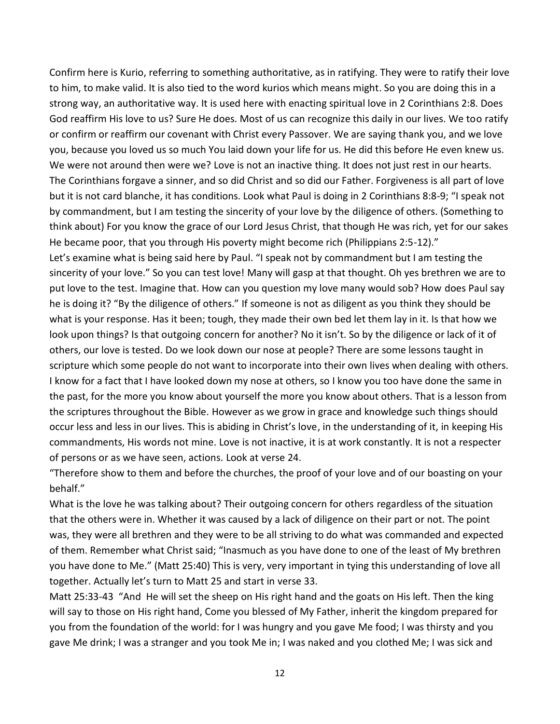Confirm here is Kurio, referring to something authoritative, as in ratifying. They were to ratify their love to him, to make valid. It is also tied to the word kurios which means might. So you are doing this in a strong way, an authoritative way. It is used here with enacting spiritual love in 2 Corinthians 2:8. Does God reaffirm His love to us? Sure He does. Most of us can recognize this daily in our lives. We too ratify or confirm or reaffirm our covenant with Christ every Passover. We are saying thank you, and we love you, because you loved us so much You laid down your life for us. He did this before He even knew us. We were not around then were we? Love is not an inactive thing. It does not just rest in our hearts. The Corinthians forgave a sinner, and so did Christ and so did our Father. Forgiveness is all part of love but it is not card blanche, it has conditions. Look what Paul is doing in 2 Corinthians 8:8-9; "I speak not by commandment, but I am testing the sincerity of your love by the diligence of others. (Something to think about) For you know the grace of our Lord Jesus Christ, that though He was rich, yet for our sakes He became poor, that you through His poverty might become rich (Philippians 2:5-12)."

Let's examine what is being said here by Paul. "I speak not by commandment but I am testing the sincerity of your love." So you can test love! Many will gasp at that thought. Oh yes brethren we are to put love to the test. Imagine that. How can you question my love many would sob? How does Paul say he is doing it? "By the diligence of others." If someone is not as diligent as you think they should be what is your response. Has it been; tough, they made their own bed let them lay in it. Is that how we look upon things? Is that outgoing concern for another? No it isn't. So by the diligence or lack of it of others, our love is tested. Do we look down our nose at people? There are some lessons taught in scripture which some people do not want to incorporate into their own lives when dealing with others. I know for a fact that I have looked down my nose at others, so I know you too have done the same in the past, for the more you know about yourself the more you know about others. That is a lesson from the scriptures throughout the Bible. However as we grow in grace and knowledge such things should occur less and less in our lives. This is abiding in Christ's love, in the understanding of it, in keeping His commandments, His words not mine. Love is not inactive, it is at work constantly. It is not a respecter of persons or as we have seen, actions. Look at verse 24.

"Therefore show to them and before the churches, the proof of your love and of our boasting on your behalf."

What is the love he was talking about? Their outgoing concern for others regardless of the situation that the others were in. Whether it was caused by a lack of diligence on their part or not. The point was, they were all brethren and they were to be all striving to do what was commanded and expected of them. Remember what Christ said; "Inasmuch as you have done to one of the least of My brethren you have done to Me." (Matt 25:40) This is very, very important in tying this understanding of love all together. Actually let's turn to Matt 25 and start in verse 33.

Matt 25:33-43 "And He will set the sheep on His right hand and the goats on His left. Then the king will say to those on His right hand, Come you blessed of My Father, inherit the kingdom prepared for you from the foundation of the world: for I was hungry and you gave Me food; I was thirsty and you gave Me drink; I was a stranger and you took Me in; I was naked and you clothed Me; I was sick and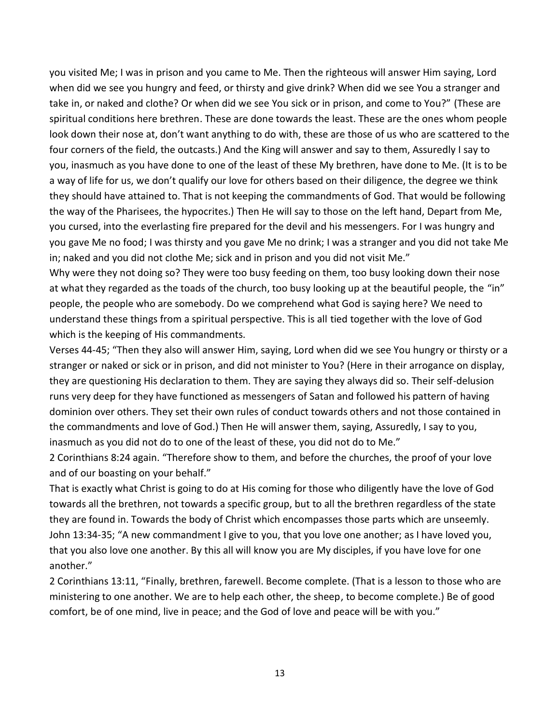you visited Me; I was in prison and you came to Me. Then the righteous will answer Him saying, Lord when did we see you hungry and feed, or thirsty and give drink? When did we see You a stranger and take in, or naked and clothe? Or when did we see You sick or in prison, and come to You?" (These are spiritual conditions here brethren. These are done towards the least. These are the ones whom people look down their nose at, don't want anything to do with, these are those of us who are scattered to the four corners of the field, the outcasts.) And the King will answer and say to them, Assuredly I say to you, inasmuch as you have done to one of the least of these My brethren, have done to Me. (It is to be a way of life for us, we don't qualify our love for others based on their diligence, the degree we think they should have attained to. That is not keeping the commandments of God. That would be following the way of the Pharisees, the hypocrites.) Then He will say to those on the left hand, Depart from Me, you cursed, into the everlasting fire prepared for the devil and his messengers. For I was hungry and you gave Me no food; I was thirsty and you gave Me no drink; I was a stranger and you did not take Me in; naked and you did not clothe Me; sick and in prison and you did not visit Me."

Why were they not doing so? They were too busy feeding on them, too busy looking down their nose at what they regarded as the toads of the church, too busy looking up at the beautiful people, the "in" people, the people who are somebody. Do we comprehend what God is saying here? We need to understand these things from a spiritual perspective. This is all tied together with the love of God which is the keeping of His commandments.

Verses 44-45; "Then they also will answer Him, saying, Lord when did we see You hungry or thirsty or a stranger or naked or sick or in prison, and did not minister to You? (Here in their arrogance on display, they are questioning His declaration to them. They are saying they always did so. Their self-delusion runs very deep for they have functioned as messengers of Satan and followed his pattern of having dominion over others. They set their own rules of conduct towards others and not those contained in the commandments and love of God.) Then He will answer them, saying, Assuredly, I say to you, inasmuch as you did not do to one of the least of these, you did not do to Me."

2 Corinthians 8:24 again. "Therefore show to them, and before the churches, the proof of your love and of our boasting on your behalf."

That is exactly what Christ is going to do at His coming for those who diligently have the love of God towards all the brethren, not towards a specific group, but to all the brethren regardless of the state they are found in. Towards the body of Christ which encompasses those parts which are unseemly. John 13:34-35; "A new commandment I give to you, that you love one another; as I have loved you, that you also love one another. By this all will know you are My disciples, if you have love for one another."

2 Corinthians 13:11, "Finally, brethren, farewell. Become complete. (That is a lesson to those who are ministering to one another. We are to help each other, the sheep, to become complete.) Be of good comfort, be of one mind, live in peace; and the God of love and peace will be with you."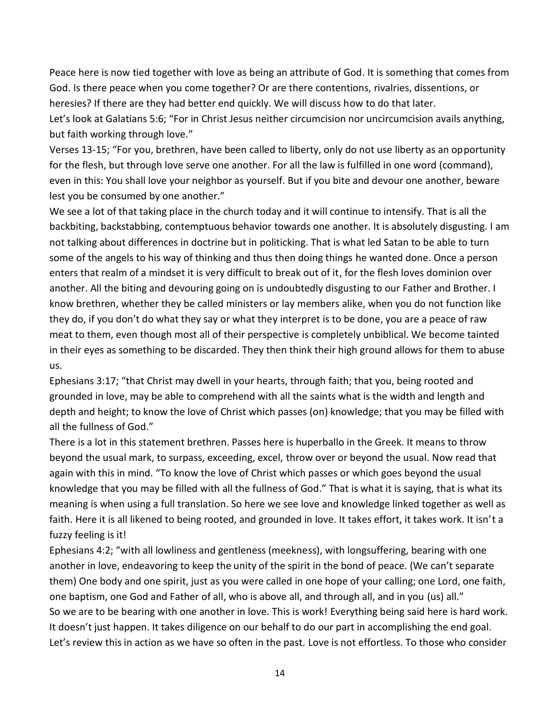Peace here is now tied together with love as being an attribute of God. It is something that comes from God. Is there peace when you come together? Or are there contentions, rivalries, dissentions, or heresies? If there are they had better end quickly. We will discuss how to do that later.

Let's look at Galatians 5:6; "For in Christ Jesus neither circumcision nor uncircumcision avails anything, but faith working through love."

Verses 13-15; "For you, brethren, have been called to liberty, only do not use liberty as an opportunity for the flesh, but through love serve one another. For all the law is fulfilled in one word (command), even in this: You shall love your neighbor as yourself. But if you bite and devour one another, beware lest you be consumed by one another."

We see a lot of that taking place in the church today and it will continue to intensify. That is all the backbiting, backstabbing, contemptuous behavior towards one another. It is absolutely disgusting. I am not talking about differences in doctrine but in politicking. That is what led Satan to be able to turn some of the angels to his way of thinking and thus then doing things he wanted done. Once a person enters that realm of a mindset it is very difficult to break out of it, for the flesh loves dominion over another. All the biting and devouring going on is undoubtedly disgusting to our Father and Brother. I know brethren, whether they be called ministers or lay members alike, when you do not function like they do, if you don't do what they say or what they interpret is to be done, you are a peace of raw meat to them, even though most all of their perspective is completely unbiblical. We become tainted in their eyes as something to be discarded. They then think their high ground allows for them to abuse us.

Ephesians 3:17; "that Christ may dwell in your hearts, through faith; that you, being rooted and grounded in love, may be able to comprehend with all the saints what is the width and length and depth and height; to know the love of Christ which passes (on) knowledge; that you may be filled with all the fullness of God."

There is a lot in this statement brethren. Passes here is huperballo in the Greek. It means to throw beyond the usual mark, to surpass, exceeding, excel, throw over or beyond the usual. Now read that again with this in mind. "To know the love of Christ which passes or which goes beyond the usual knowledge that you may be filled with all the fullness of God." That is what it is saying, that is what its meaning is when using a full translation. So here we see love and knowledge linked together as well as faith. Here it is all likened to being rooted, and grounded in love. It takes effort, it takes work. It isn't a fuzzy feeling is it!

Ephesians 4:2; "with all lowliness and gentleness (meekness), with longsuffering, bearing with one another in love, endeavoring to keep the unity of the spirit in the bond of peace. (We can't separate them) One body and one spirit, just as you were called in one hope of your calling; one Lord, one faith, one baptism, one God and Father of all, who is above all, and through all, and in you (us) all." So we are to be bearing with one another in love. This is work! Everything being said here is hard work. It doesn't just happen. It takes diligence on our behalf to do our part in accomplishing the end goal. Let's review this in action as we have so often in the past. Love is not effortless. To those who consider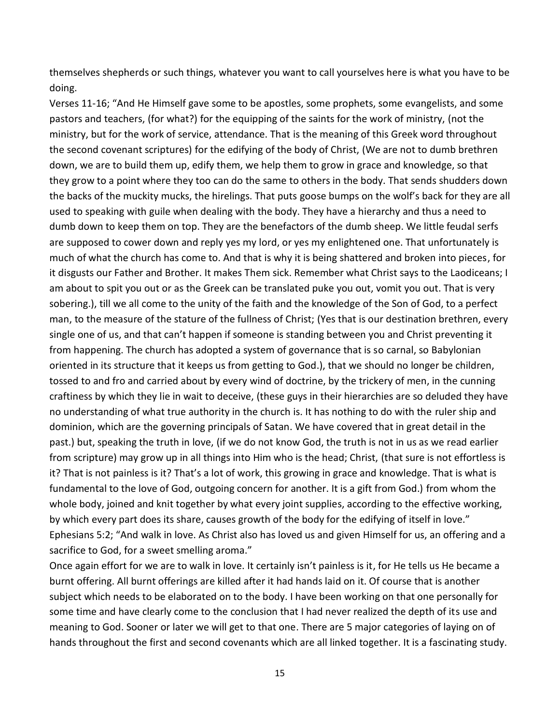themselves shepherds or such things, whatever you want to call yourselves here is what you have to be doing.

Verses 11-16; "And He Himself gave some to be apostles, some prophets, some evangelists, and some pastors and teachers, (for what?) for the equipping of the saints for the work of ministry, (not the ministry, but for the work of service, attendance. That is the meaning of this Greek word throughout the second covenant scriptures) for the edifying of the body of Christ, (We are not to dumb brethren down, we are to build them up, edify them, we help them to grow in grace and knowledge, so that they grow to a point where they too can do the same to others in the body. That sends shudders down the backs of the muckity mucks, the hirelings. That puts goose bumps on the wolf's back for they are all used to speaking with guile when dealing with the body. They have a hierarchy and thus a need to dumb down to keep them on top. They are the benefactors of the dumb sheep. We little feudal serfs are supposed to cower down and reply yes my lord, or yes my enlightened one. That unfortunately is much of what the church has come to. And that is why it is being shattered and broken into pieces, for it disgusts our Father and Brother. It makes Them sick. Remember what Christ says to the Laodiceans; I am about to spit you out or as the Greek can be translated puke you out, vomit you out. That is very sobering.), till we all come to the unity of the faith and the knowledge of the Son of God, to a perfect man, to the measure of the stature of the fullness of Christ; (Yes that is our destination brethren, every single one of us, and that can't happen if someone is standing between you and Christ preventing it from happening. The church has adopted a system of governance that is so carnal, so Babylonian oriented in its structure that it keeps us from getting to God.), that we should no longer be children, tossed to and fro and carried about by every wind of doctrine, by the trickery of men, in the cunning craftiness by which they lie in wait to deceive, (these guys in their hierarchies are so deluded they have no understanding of what true authority in the church is. It has nothing to do with the ruler ship and dominion, which are the governing principals of Satan. We have covered that in great detail in the past.) but, speaking the truth in love, (if we do not know God, the truth is not in us as we read earlier from scripture) may grow up in all things into Him who is the head; Christ, (that sure is not effortless is it? That is not painless is it? That's a lot of work, this growing in grace and knowledge. That is what is fundamental to the love of God, outgoing concern for another. It is a gift from God.) from whom the whole body, joined and knit together by what every joint supplies, according to the effective working, by which every part does its share, causes growth of the body for the edifying of itself in love." Ephesians 5:2; "And walk in love. As Christ also has loved us and given Himself for us, an offering and a sacrifice to God, for a sweet smelling aroma."

Once again effort for we are to walk in love. It certainly isn't painless is it, for He tells us He became a burnt offering. All burnt offerings are killed after it had hands laid on it. Of course that is another subject which needs to be elaborated on to the body. I have been working on that one personally for some time and have clearly come to the conclusion that I had never realized the depth of its use and meaning to God. Sooner or later we will get to that one. There are 5 major categories of laying on of hands throughout the first and second covenants which are all linked together. It is a fascinating study.

15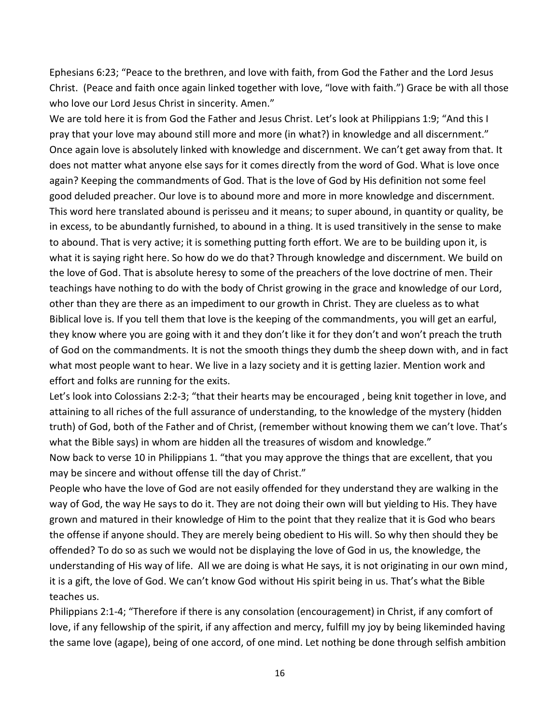Ephesians 6:23; "Peace to the brethren, and love with faith, from God the Father and the Lord Jesus Christ. (Peace and faith once again linked together with love, "love with faith.") Grace be with all those who love our Lord Jesus Christ in sincerity. Amen."

We are told here it is from God the Father and Jesus Christ. Let's look at Philippians 1:9; "And this I pray that your love may abound still more and more (in what?) in knowledge and all discernment." Once again love is absolutely linked with knowledge and discernment. We can't get away from that. It does not matter what anyone else says for it comes directly from the word of God. What is love once again? Keeping the commandments of God. That is the love of God by His definition not some feel good deluded preacher. Our love is to abound more and more in more knowledge and discernment. This word here translated abound is perisseu and it means; to super abound, in quantity or quality, be in excess, to be abundantly furnished, to abound in a thing. It is used transitively in the sense to make to abound. That is very active; it is something putting forth effort. We are to be building upon it, is what it is saying right here. So how do we do that? Through knowledge and discernment. We build on the love of God. That is absolute heresy to some of the preachers of the love doctrine of men. Their teachings have nothing to do with the body of Christ growing in the grace and knowledge of our Lord, other than they are there as an impediment to our growth in Christ. They are clueless as to what Biblical love is. If you tell them that love is the keeping of the commandments, you will get an earful, they know where you are going with it and they don't like it for they don't and won't preach the truth of God on the commandments. It is not the smooth things they dumb the sheep down with, and in fact what most people want to hear. We live in a lazy society and it is getting lazier. Mention work and effort and folks are running for the exits.

Let's look into Colossians 2:2-3; "that their hearts may be encouraged , being knit together in love, and attaining to all riches of the full assurance of understanding, to the knowledge of the mystery (hidden truth) of God, both of the Father and of Christ, (remember without knowing them we can't love. That's what the Bible says) in whom are hidden all the treasures of wisdom and knowledge."

Now back to verse 10 in Philippians 1. "that you may approve the things that are excellent, that you may be sincere and without offense till the day of Christ."

People who have the love of God are not easily offended for they understand they are walking in the way of God, the way He says to do it. They are not doing their own will but yielding to His. They have grown and matured in their knowledge of Him to the point that they realize that it is God who bears the offense if anyone should. They are merely being obedient to His will. So why then should they be offended? To do so as such we would not be displaying the love of God in us, the knowledge, the understanding of His way of life. All we are doing is what He says, it is not originating in our own mind, it is a gift, the love of God. We can't know God without His spirit being in us. That's what the Bible teaches us.

Philippians 2:1-4; "Therefore if there is any consolation (encouragement) in Christ, if any comfort of love, if any fellowship of the spirit, if any affection and mercy, fulfill my joy by being likeminded having the same love (agape), being of one accord, of one mind. Let nothing be done through selfish ambition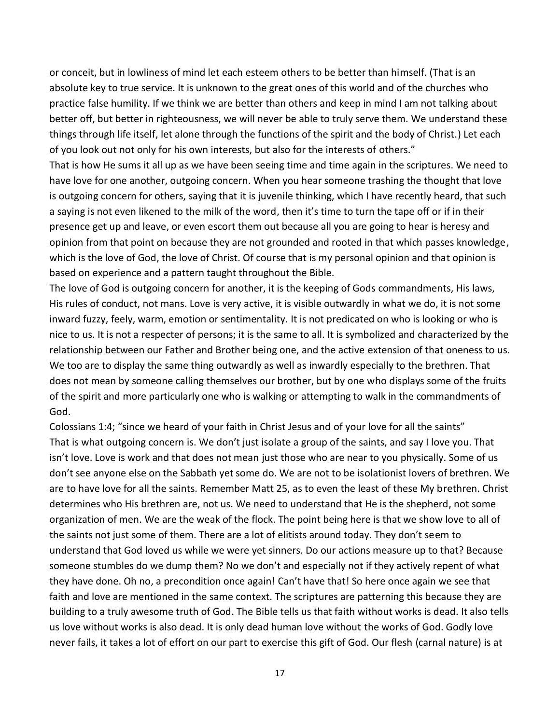or conceit, but in lowliness of mind let each esteem others to be better than himself. (That is an absolute key to true service. It is unknown to the great ones of this world and of the churches who practice false humility. If we think we are better than others and keep in mind I am not talking about better off, but better in righteousness, we will never be able to truly serve them. We understand these things through life itself, let alone through the functions of the spirit and the body of Christ.) Let each of you look out not only for his own interests, but also for the interests of others."

That is how He sums it all up as we have been seeing time and time again in the scriptures. We need to have love for one another, outgoing concern. When you hear someone trashing the thought that love is outgoing concern for others, saying that it is juvenile thinking, which I have recently heard, that such a saying is not even likened to the milk of the word, then it's time to turn the tape off or if in their presence get up and leave, or even escort them out because all you are going to hear is heresy and opinion from that point on because they are not grounded and rooted in that which passes knowledge, which is the love of God, the love of Christ. Of course that is my personal opinion and that opinion is based on experience and a pattern taught throughout the Bible.

The love of God is outgoing concern for another, it is the keeping of Gods commandments, His laws, His rules of conduct, not mans. Love is very active, it is visible outwardly in what we do, it is not some inward fuzzy, feely, warm, emotion or sentimentality. It is not predicated on who is looking or who is nice to us. It is not a respecter of persons; it is the same to all. It is symbolized and characterized by the relationship between our Father and Brother being one, and the active extension of that oneness to us. We too are to display the same thing outwardly as well as inwardly especially to the brethren. That does not mean by someone calling themselves our brother, but by one who displays some of the fruits of the spirit and more particularly one who is walking or attempting to walk in the commandments of God.

Colossians 1:4; "since we heard of your faith in Christ Jesus and of your love for all the saints" That is what outgoing concern is. We don't just isolate a group of the saints, and say I love you. That isn't love. Love is work and that does not mean just those who are near to you physically. Some of us don't see anyone else on the Sabbath yet some do. We are not to be isolationist lovers of brethren. We are to have love for all the saints. Remember Matt 25, as to even the least of these My brethren. Christ determines who His brethren are, not us. We need to understand that He is the shepherd, not some organization of men. We are the weak of the flock. The point being here is that we show love to all of the saints not just some of them. There are a lot of elitists around today. They don't seem to understand that God loved us while we were yet sinners. Do our actions measure up to that? Because someone stumbles do we dump them? No we don't and especially not if they actively repent of what they have done. Oh no, a precondition once again! Can't have that! So here once again we see that faith and love are mentioned in the same context. The scriptures are patterning this because they are building to a truly awesome truth of God. The Bible tells us that faith without works is dead. It also tells us love without works is also dead. It is only dead human love without the works of God. Godly love never fails, it takes a lot of effort on our part to exercise this gift of God. Our flesh (carnal nature) is at

17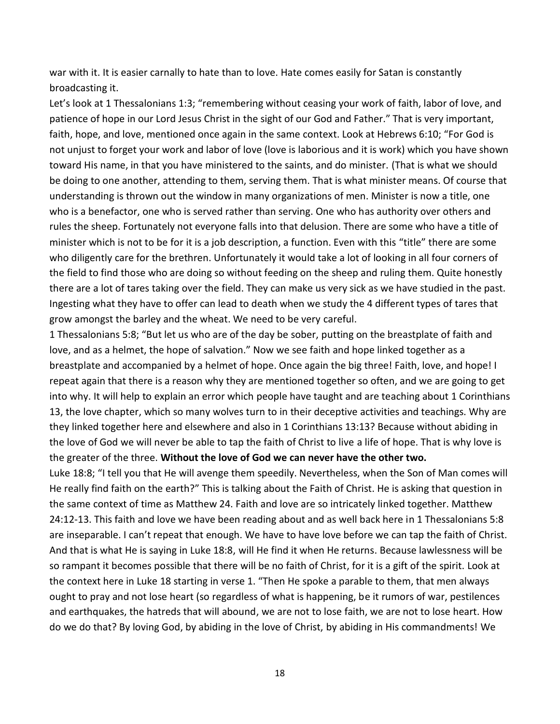war with it. It is easier carnally to hate than to love. Hate comes easily for Satan is constantly broadcasting it.

Let's look at 1 Thessalonians 1:3; "remembering without ceasing your work of faith, labor of love, and patience of hope in our Lord Jesus Christ in the sight of our God and Father." That is very important, faith, hope, and love, mentioned once again in the same context. Look at Hebrews 6:10; "For God is not unjust to forget your work and labor of love (love is laborious and it is work) which you have shown toward His name, in that you have ministered to the saints, and do minister. (That is what we should be doing to one another, attending to them, serving them. That is what minister means. Of course that understanding is thrown out the window in many organizations of men. Minister is now a title, one who is a benefactor, one who is served rather than serving. One who has authority over others and rules the sheep. Fortunately not everyone falls into that delusion. There are some who have a title of minister which is not to be for it is a job description, a function. Even with this "title" there are some who diligently care for the brethren. Unfortunately it would take a lot of looking in all four corners of the field to find those who are doing so without feeding on the sheep and ruling them. Quite honestly there are a lot of tares taking over the field. They can make us very sick as we have studied in the past. Ingesting what they have to offer can lead to death when we study the 4 different types of tares that grow amongst the barley and the wheat. We need to be very careful.

1 Thessalonians 5:8; "But let us who are of the day be sober, putting on the breastplate of faith and love, and as a helmet, the hope of salvation." Now we see faith and hope linked together as a breastplate and accompanied by a helmet of hope. Once again the big three! Faith, love, and hope! I repeat again that there is a reason why they are mentioned together so often, and we are going to get into why. It will help to explain an error which people have taught and are teaching about 1 Corinthians 13, the love chapter, which so many wolves turn to in their deceptive activities and teachings. Why are they linked together here and elsewhere and also in 1 Corinthians 13:13? Because without abiding in the love of God we will never be able to tap the faith of Christ to live a life of hope. That is why love is the greater of the three. **Without the love of God we can never have the other two.** 

Luke 18:8; "I tell you that He will avenge them speedily. Nevertheless, when the Son of Man comes will He really find faith on the earth?" This is talking about the Faith of Christ. He is asking that question in the same context of time as Matthew 24. Faith and love are so intricately linked together. Matthew 24:12-13. This faith and love we have been reading about and as well back here in 1 Thessalonians 5:8 are inseparable. I can't repeat that enough. We have to have love before we can tap the faith of Christ. And that is what He is saying in Luke 18:8, will He find it when He returns. Because lawlessness will be so rampant it becomes possible that there will be no faith of Christ, for it is a gift of the spirit. Look at the context here in Luke 18 starting in verse 1. "Then He spoke a parable to them, that men always ought to pray and not lose heart (so regardless of what is happening, be it rumors of war, pestilences and earthquakes, the hatreds that will abound, we are not to lose faith, we are not to lose heart. How do we do that? By loving God, by abiding in the love of Christ, by abiding in His commandments! We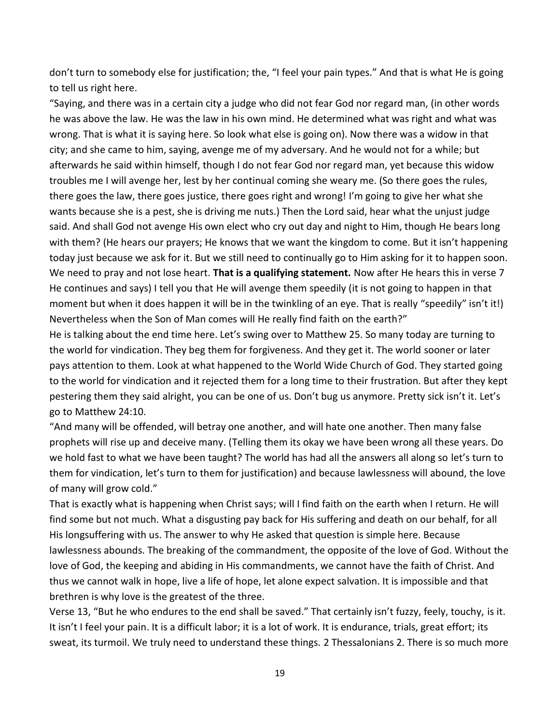don't turn to somebody else for justification; the, "I feel your pain types." And that is what He is going to tell us right here.

"Saying, and there was in a certain city a judge who did not fear God nor regard man, (in other words he was above the law. He was the law in his own mind. He determined what was right and what was wrong. That is what it is saying here. So look what else is going on). Now there was a widow in that city; and she came to him, saying, avenge me of my adversary. And he would not for a while; but afterwards he said within himself, though I do not fear God nor regard man, yet because this widow troubles me I will avenge her, lest by her continual coming she weary me. (So there goes the rules, there goes the law, there goes justice, there goes right and wrong! I'm going to give her what she wants because she is a pest, she is driving me nuts.) Then the Lord said, hear what the unjust judge said. And shall God not avenge His own elect who cry out day and night to Him, though He bears long with them? (He hears our prayers; He knows that we want the kingdom to come. But it isn't happening today just because we ask for it. But we still need to continually go to Him asking for it to happen soon. We need to pray and not lose heart. **That is a qualifying statement.** Now after He hears this in verse 7 He continues and says) I tell you that He will avenge them speedily (it is not going to happen in that moment but when it does happen it will be in the twinkling of an eye. That is really "speedily" isn't it!) Nevertheless when the Son of Man comes will He really find faith on the earth?"

He is talking about the end time here. Let's swing over to Matthew 25. So many today are turning to the world for vindication. They beg them for forgiveness. And they get it. The world sooner or later pays attention to them. Look at what happened to the World Wide Church of God. They started going to the world for vindication and it rejected them for a long time to their frustration. But after they kept pestering them they said alright, you can be one of us. Don't bug us anymore. Pretty sick isn't it. Let's go to Matthew 24:10.

"And many will be offended, will betray one another, and will hate one another. Then many false prophets will rise up and deceive many. (Telling them its okay we have been wrong all these years. Do we hold fast to what we have been taught? The world has had all the answers all along so let's turn to them for vindication, let's turn to them for justification) and because lawlessness will abound, the love of many will grow cold."

That is exactly what is happening when Christ says; will I find faith on the earth when I return. He will find some but not much. What a disgusting pay back for His suffering and death on our behalf, for all His longsuffering with us. The answer to why He asked that question is simple here. Because lawlessness abounds. The breaking of the commandment, the opposite of the love of God. Without the love of God, the keeping and abiding in His commandments, we cannot have the faith of Christ. And thus we cannot walk in hope, live a life of hope, let alone expect salvation. It is impossible and that brethren is why love is the greatest of the three.

Verse 13, "But he who endures to the end shall be saved." That certainly isn't fuzzy, feely, touchy, is it. It isn't I feel your pain. It is a difficult labor; it is a lot of work. It is endurance, trials, great effort; its sweat, its turmoil. We truly need to understand these things. 2 Thessalonians 2. There is so much more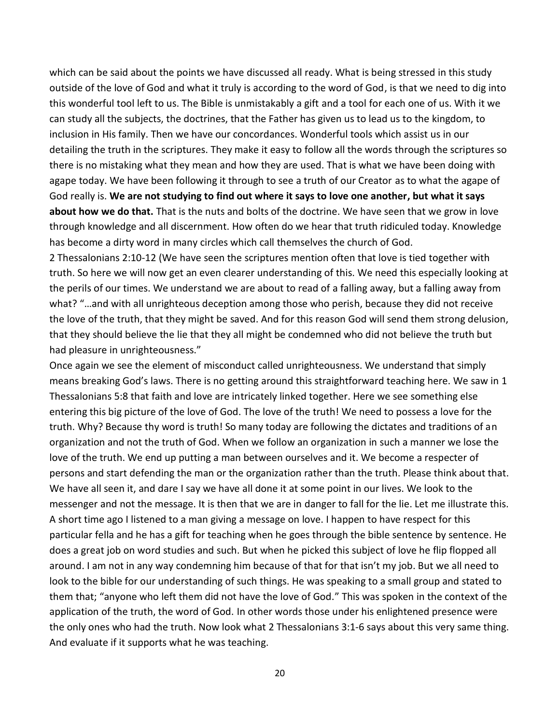which can be said about the points we have discussed all ready. What is being stressed in this study outside of the love of God and what it truly is according to the word of God, is that we need to dig into this wonderful tool left to us. The Bible is unmistakably a gift and a tool for each one of us. With it we can study all the subjects, the doctrines, that the Father has given us to lead us to the kingdom, to inclusion in His family. Then we have our concordances. Wonderful tools which assist us in our detailing the truth in the scriptures. They make it easy to follow all the words through the scriptures so there is no mistaking what they mean and how they are used. That is what we have been doing with agape today. We have been following it through to see a truth of our Creator as to what the agape of God really is. **We are not studying to find out where it says to love one another, but what it says about how we do that.** That is the nuts and bolts of the doctrine. We have seen that we grow in love through knowledge and all discernment. How often do we hear that truth ridiculed today. Knowledge has become a dirty word in many circles which call themselves the church of God.

2 Thessalonians 2:10-12 (We have seen the scriptures mention often that love is tied together with truth. So here we will now get an even clearer understanding of this. We need this especially looking at the perils of our times. We understand we are about to read of a falling away, but a falling away from what? "…and with all unrighteous deception among those who perish, because they did not receive the love of the truth, that they might be saved. And for this reason God will send them strong delusion, that they should believe the lie that they all might be condemned who did not believe the truth but had pleasure in unrighteousness."

Once again we see the element of misconduct called unrighteousness. We understand that simply means breaking God's laws. There is no getting around this straightforward teaching here. We saw in 1 Thessalonians 5:8 that faith and love are intricately linked together. Here we see something else entering this big picture of the love of God. The love of the truth! We need to possess a love for the truth. Why? Because thy word is truth! So many today are following the dictates and traditions of an organization and not the truth of God. When we follow an organization in such a manner we lose the love of the truth. We end up putting a man between ourselves and it. We become a respecter of persons and start defending the man or the organization rather than the truth. Please think about that. We have all seen it, and dare I say we have all done it at some point in our lives. We look to the messenger and not the message. It is then that we are in danger to fall for the lie. Let me illustrate this. A short time ago I listened to a man giving a message on love. I happen to have respect for this particular fella and he has a gift for teaching when he goes through the bible sentence by sentence. He does a great job on word studies and such. But when he picked this subject of love he flip flopped all around. I am not in any way condemning him because of that for that isn't my job. But we all need to look to the bible for our understanding of such things. He was speaking to a small group and stated to them that; "anyone who left them did not have the love of God." This was spoken in the context of the application of the truth, the word of God. In other words those under his enlightened presence were the only ones who had the truth. Now look what 2 Thessalonians 3:1-6 says about this very same thing. And evaluate if it supports what he was teaching.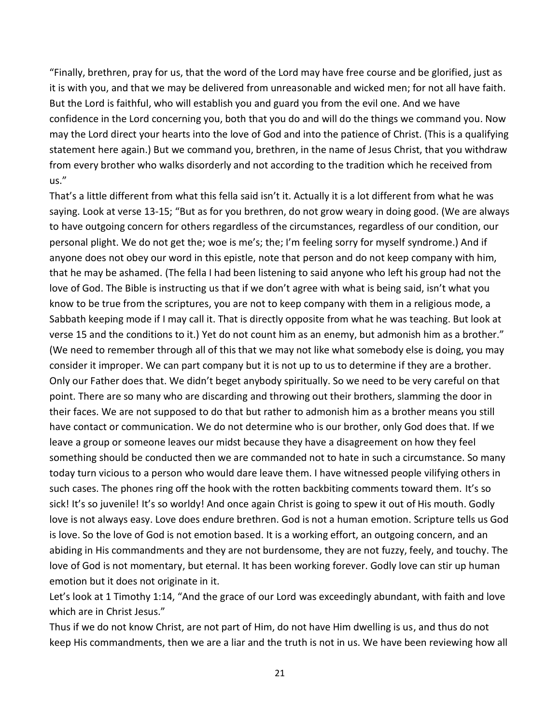"Finally, brethren, pray for us, that the word of the Lord may have free course and be glorified, just as it is with you, and that we may be delivered from unreasonable and wicked men; for not all have faith. But the Lord is faithful, who will establish you and guard you from the evil one. And we have confidence in the Lord concerning you, both that you do and will do the things we command you. Now may the Lord direct your hearts into the love of God and into the patience of Christ. (This is a qualifying statement here again.) But we command you, brethren, in the name of Jesus Christ, that you withdraw from every brother who walks disorderly and not according to the tradition which he received from us."

That's a little different from what this fella said isn't it. Actually it is a lot different from what he was saying. Look at verse 13-15; "But as for you brethren, do not grow weary in doing good. (We are always to have outgoing concern for others regardless of the circumstances, regardless of our condition, our personal plight. We do not get the; woe is me's; the; I'm feeling sorry for myself syndrome.) And if anyone does not obey our word in this epistle, note that person and do not keep company with him, that he may be ashamed. (The fella I had been listening to said anyone who left his group had not the love of God. The Bible is instructing us that if we don't agree with what is being said, isn't what you know to be true from the scriptures, you are not to keep company with them in a religious mode, a Sabbath keeping mode if I may call it. That is directly opposite from what he was teaching. But look at verse 15 and the conditions to it.) Yet do not count him as an enemy, but admonish him as a brother." (We need to remember through all of this that we may not like what somebody else is doing, you may consider it improper. We can part company but it is not up to us to determine if they are a brother. Only our Father does that. We didn't beget anybody spiritually. So we need to be very careful on that point. There are so many who are discarding and throwing out their brothers, slamming the door in their faces. We are not supposed to do that but rather to admonish him as a brother means you still have contact or communication. We do not determine who is our brother, only God does that. If we leave a group or someone leaves our midst because they have a disagreement on how they feel something should be conducted then we are commanded not to hate in such a circumstance. So many today turn vicious to a person who would dare leave them. I have witnessed people vilifying others in such cases. The phones ring off the hook with the rotten backbiting comments toward them. It's so sick! It's so juvenile! It's so worldy! And once again Christ is going to spew it out of His mouth. Godly love is not always easy. Love does endure brethren. God is not a human emotion. Scripture tells us God is love. So the love of God is not emotion based. It is a working effort, an outgoing concern, and an abiding in His commandments and they are not burdensome, they are not fuzzy, feely, and touchy. The love of God is not momentary, but eternal. It has been working forever. Godly love can stir up human emotion but it does not originate in it.

Let's look at 1 Timothy 1:14, "And the grace of our Lord was exceedingly abundant, with faith and love which are in Christ Jesus."

Thus if we do not know Christ, are not part of Him, do not have Him dwelling is us, and thus do not keep His commandments, then we are a liar and the truth is not in us. We have been reviewing how all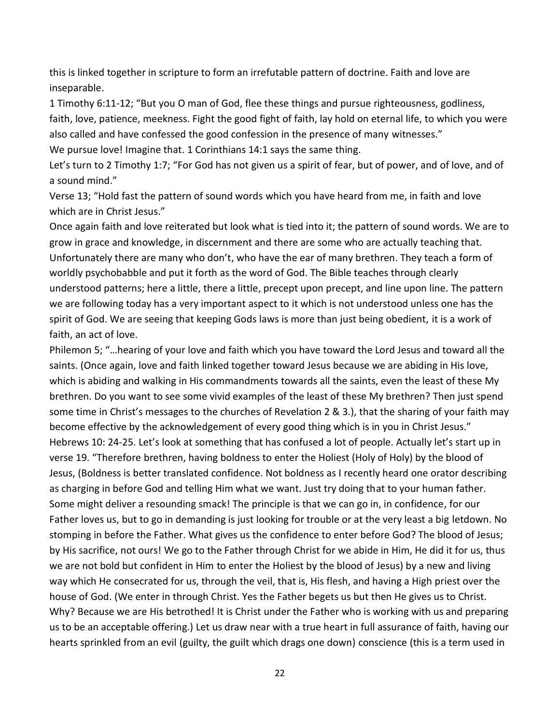this is linked together in scripture to form an irrefutable pattern of doctrine. Faith and love are inseparable.

1 Timothy 6:11-12; "But you O man of God, flee these things and pursue righteousness, godliness, faith, love, patience, meekness. Fight the good fight of faith, lay hold on eternal life, to which you were also called and have confessed the good confession in the presence of many witnesses."

We pursue love! Imagine that. 1 Corinthians 14:1 says the same thing.

Let's turn to 2 Timothy 1:7; "For God has not given us a spirit of fear, but of power, and of love, and of a sound mind."

Verse 13; "Hold fast the pattern of sound words which you have heard from me, in faith and love which are in Christ Jesus."

Once again faith and love reiterated but look what is tied into it; the pattern of sound words. We are to grow in grace and knowledge, in discernment and there are some who are actually teaching that. Unfortunately there are many who don't, who have the ear of many brethren. They teach a form of worldly psychobabble and put it forth as the word of God. The Bible teaches through clearly understood patterns; here a little, there a little, precept upon precept, and line upon line. The pattern we are following today has a very important aspect to it which is not understood unless one has the spirit of God. We are seeing that keeping Gods laws is more than just being obedient, it is a work of faith, an act of love.

Philemon 5; "…hearing of your love and faith which you have toward the Lord Jesus and toward all the saints. (Once again, love and faith linked together toward Jesus because we are abiding in His love, which is abiding and walking in His commandments towards all the saints, even the least of these My brethren. Do you want to see some vivid examples of the least of these My brethren? Then just spend some time in Christ's messages to the churches of Revelation 2 & 3.), that the sharing of your faith may become effective by the acknowledgement of every good thing which is in you in Christ Jesus." Hebrews 10: 24-25. Let's look at something that has confused a lot of people. Actually let's start up in verse 19. "Therefore brethren, having boldness to enter the Holiest (Holy of Holy) by the blood of Jesus, (Boldness is better translated confidence. Not boldness as I recently heard one orator describing as charging in before God and telling Him what we want. Just try doing that to your human father. Some might deliver a resounding smack! The principle is that we can go in, in confidence, for our Father loves us, but to go in demanding is just looking for trouble or at the very least a big letdown. No stomping in before the Father. What gives us the confidence to enter before God? The blood of Jesus; by His sacrifice, not ours! We go to the Father through Christ for we abide in Him, He did it for us, thus we are not bold but confident in Him to enter the Holiest by the blood of Jesus) by a new and living way which He consecrated for us, through the veil, that is, His flesh, and having a High priest over the house of God. (We enter in through Christ. Yes the Father begets us but then He gives us to Christ. Why? Because we are His betrothed! It is Christ under the Father who is working with us and preparing us to be an acceptable offering.) Let us draw near with a true heart in full assurance of faith, having our hearts sprinkled from an evil (guilty, the guilt which drags one down) conscience (this is a term used in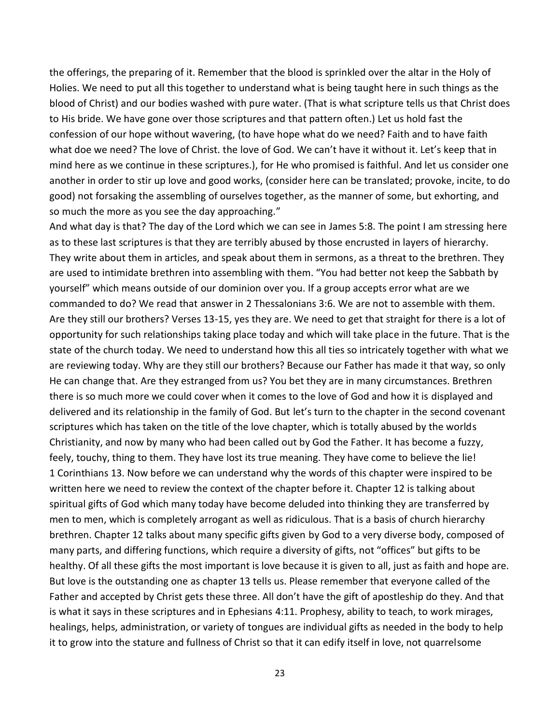the offerings, the preparing of it. Remember that the blood is sprinkled over the altar in the Holy of Holies. We need to put all this together to understand what is being taught here in such things as the blood of Christ) and our bodies washed with pure water. (That is what scripture tells us that Christ does to His bride. We have gone over those scriptures and that pattern often.) Let us hold fast the confession of our hope without wavering, (to have hope what do we need? Faith and to have faith what doe we need? The love of Christ. the love of God. We can't have it without it. Let's keep that in mind here as we continue in these scriptures.), for He who promised is faithful. And let us consider one another in order to stir up love and good works, (consider here can be translated; provoke, incite, to do good) not forsaking the assembling of ourselves together, as the manner of some, but exhorting, and so much the more as you see the day approaching."

And what day is that? The day of the Lord which we can see in James 5:8. The point I am stressing here as to these last scriptures is that they are terribly abused by those encrusted in layers of hierarchy. They write about them in articles, and speak about them in sermons, as a threat to the brethren. They are used to intimidate brethren into assembling with them. "You had better not keep the Sabbath by yourself" which means outside of our dominion over you. If a group accepts error what are we commanded to do? We read that answer in 2 Thessalonians 3:6. We are not to assemble with them. Are they still our brothers? Verses 13-15, yes they are. We need to get that straight for there is a lot of opportunity for such relationships taking place today and which will take place in the future. That is the state of the church today. We need to understand how this all ties so intricately together with what we are reviewing today. Why are they still our brothers? Because our Father has made it that way, so only He can change that. Are they estranged from us? You bet they are in many circumstances. Brethren there is so much more we could cover when it comes to the love of God and how it is displayed and delivered and its relationship in the family of God. But let's turn to the chapter in the second covenant scriptures which has taken on the title of the love chapter, which is totally abused by the worlds Christianity, and now by many who had been called out by God the Father. It has become a fuzzy, feely, touchy, thing to them. They have lost its true meaning. They have come to believe the lie! 1 Corinthians 13. Now before we can understand why the words of this chapter were inspired to be written here we need to review the context of the chapter before it. Chapter 12 is talking about spiritual gifts of God which many today have become deluded into thinking they are transferred by men to men, which is completely arrogant as well as ridiculous. That is a basis of church hierarchy brethren. Chapter 12 talks about many specific gifts given by God to a very diverse body, composed of many parts, and differing functions, which require a diversity of gifts, not "offices" but gifts to be healthy. Of all these gifts the most important is love because it is given to all, just as faith and hope are. But love is the outstanding one as chapter 13 tells us. Please remember that everyone called of the Father and accepted by Christ gets these three. All don't have the gift of apostleship do they. And that is what it says in these scriptures and in Ephesians 4:11. Prophesy, ability to teach, to work mirages, healings, helps, administration, or variety of tongues are individual gifts as needed in the body to help it to grow into the stature and fullness of Christ so that it can edify itself in love, not quarrelsome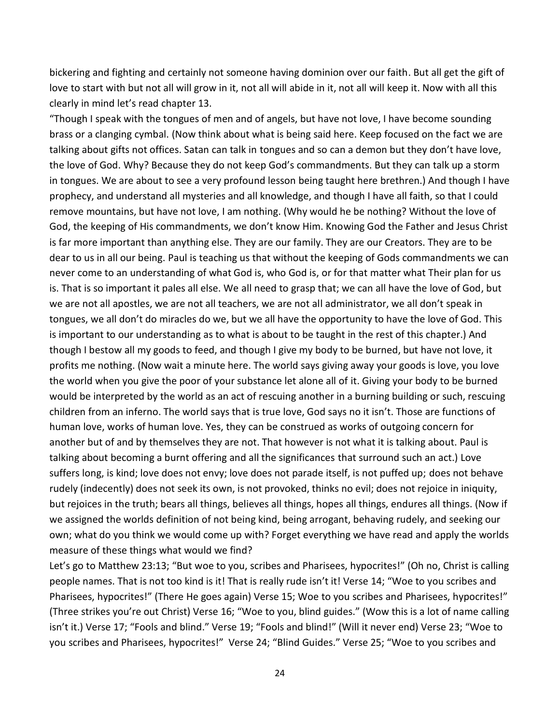bickering and fighting and certainly not someone having dominion over our faith. But all get the gift of love to start with but not all will grow in it, not all will abide in it, not all will keep it. Now with all this clearly in mind let's read chapter 13.

"Though I speak with the tongues of men and of angels, but have not love, I have become sounding brass or a clanging cymbal. (Now think about what is being said here. Keep focused on the fact we are talking about gifts not offices. Satan can talk in tongues and so can a demon but they don't have love, the love of God. Why? Because they do not keep God's commandments. But they can talk up a storm in tongues. We are about to see a very profound lesson being taught here brethren.) And though I have prophecy, and understand all mysteries and all knowledge, and though I have all faith, so that I could remove mountains, but have not love, I am nothing. (Why would he be nothing? Without the love of God, the keeping of His commandments, we don't know Him. Knowing God the Father and Jesus Christ is far more important than anything else. They are our family. They are our Creators. They are to be dear to us in all our being. Paul is teaching us that without the keeping of Gods commandments we can never come to an understanding of what God is, who God is, or for that matter what Their plan for us is. That is so important it pales all else. We all need to grasp that; we can all have the love of God, but we are not all apostles, we are not all teachers, we are not all administrator, we all don't speak in tongues, we all don't do miracles do we, but we all have the opportunity to have the love of God. This is important to our understanding as to what is about to be taught in the rest of this chapter.) And though I bestow all my goods to feed, and though I give my body to be burned, but have not love, it profits me nothing. (Now wait a minute here. The world says giving away your goods is love, you love the world when you give the poor of your substance let alone all of it. Giving your body to be burned would be interpreted by the world as an act of rescuing another in a burning building or such, rescuing children from an inferno. The world says that is true love, God says no it isn't. Those are functions of human love, works of human love. Yes, they can be construed as works of outgoing concern for another but of and by themselves they are not. That however is not what it is talking about. Paul is talking about becoming a burnt offering and all the significances that surround such an act.) Love suffers long, is kind; love does not envy; love does not parade itself, is not puffed up; does not behave rudely (indecently) does not seek its own, is not provoked, thinks no evil; does not rejoice in iniquity, but rejoices in the truth; bears all things, believes all things, hopes all things, endures all things. (Now if we assigned the worlds definition of not being kind, being arrogant, behaving rudely, and seeking our own; what do you think we would come up with? Forget everything we have read and apply the worlds measure of these things what would we find?

Let's go to Matthew 23:13; "But woe to you, scribes and Pharisees, hypocrites!" (Oh no, Christ is calling people names. That is not too kind is it! That is really rude isn't it! Verse 14; "Woe to you scribes and Pharisees, hypocrites!" (There He goes again) Verse 15; Woe to you scribes and Pharisees, hypocrites!" (Three strikes you're out Christ) Verse 16; "Woe to you, blind guides." (Wow this is a lot of name calling isn't it.) Verse 17; "Fools and blind." Verse 19; "Fools and blind!" (Will it never end) Verse 23; "Woe to you scribes and Pharisees, hypocrites!" Verse 24; "Blind Guides." Verse 25; "Woe to you scribes and

24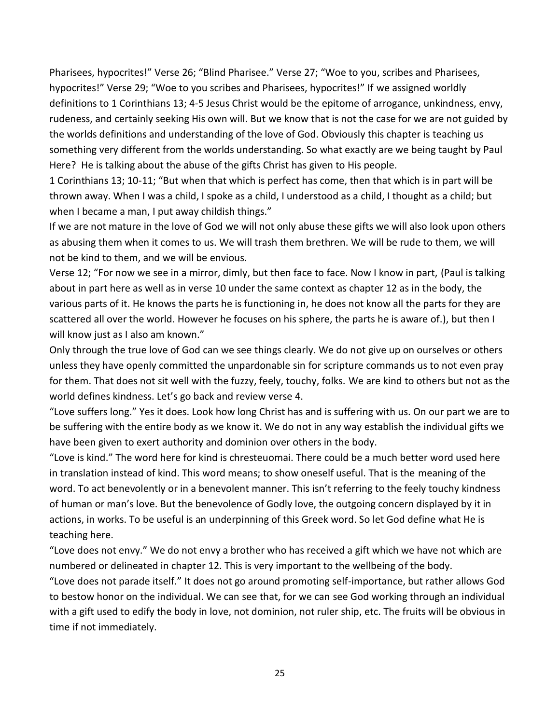Pharisees, hypocrites!" Verse 26; "Blind Pharisee." Verse 27; "Woe to you, scribes and Pharisees, hypocrites!" Verse 29; "Woe to you scribes and Pharisees, hypocrites!" If we assigned worldly definitions to 1 Corinthians 13; 4-5 Jesus Christ would be the epitome of arrogance, unkindness, envy, rudeness, and certainly seeking His own will. But we know that is not the case for we are not guided by the worlds definitions and understanding of the love of God. Obviously this chapter is teaching us something very different from the worlds understanding. So what exactly are we being taught by Paul Here? He is talking about the abuse of the gifts Christ has given to His people.

1 Corinthians 13; 10-11; "But when that which is perfect has come, then that which is in part will be thrown away. When I was a child, I spoke as a child, I understood as a child, I thought as a child; but when I became a man, I put away childish things."

If we are not mature in the love of God we will not only abuse these gifts we will also look upon others as abusing them when it comes to us. We will trash them brethren. We will be rude to them, we will not be kind to them, and we will be envious.

Verse 12; "For now we see in a mirror, dimly, but then face to face. Now I know in part, (Paul is talking about in part here as well as in verse 10 under the same context as chapter 12 as in the body, the various parts of it. He knows the parts he is functioning in, he does not know all the parts for they are scattered all over the world. However he focuses on his sphere, the parts he is aware of.), but then I will know just as I also am known."

Only through the true love of God can we see things clearly. We do not give up on ourselves or others unless they have openly committed the unpardonable sin for scripture commands us to not even pray for them. That does not sit well with the fuzzy, feely, touchy, folks. We are kind to others but not as the world defines kindness. Let's go back and review verse 4.

"Love suffers long." Yes it does. Look how long Christ has and is suffering with us. On our part we are to be suffering with the entire body as we know it. We do not in any way establish the individual gifts we have been given to exert authority and dominion over others in the body.

"Love is kind." The word here for kind is chresteuomai. There could be a much better word used here in translation instead of kind. This word means; to show oneself useful. That is the meaning of the word. To act benevolently or in a benevolent manner. This isn't referring to the feely touchy kindness of human or man's love. But the benevolence of Godly love, the outgoing concern displayed by it in actions, in works. To be useful is an underpinning of this Greek word. So let God define what He is teaching here.

"Love does not envy." We do not envy a brother who has received a gift which we have not which are numbered or delineated in chapter 12. This is very important to the wellbeing of the body.

"Love does not parade itself." It does not go around promoting self-importance, but rather allows God to bestow honor on the individual. We can see that, for we can see God working through an individual with a gift used to edify the body in love, not dominion, not ruler ship, etc. The fruits will be obvious in time if not immediately.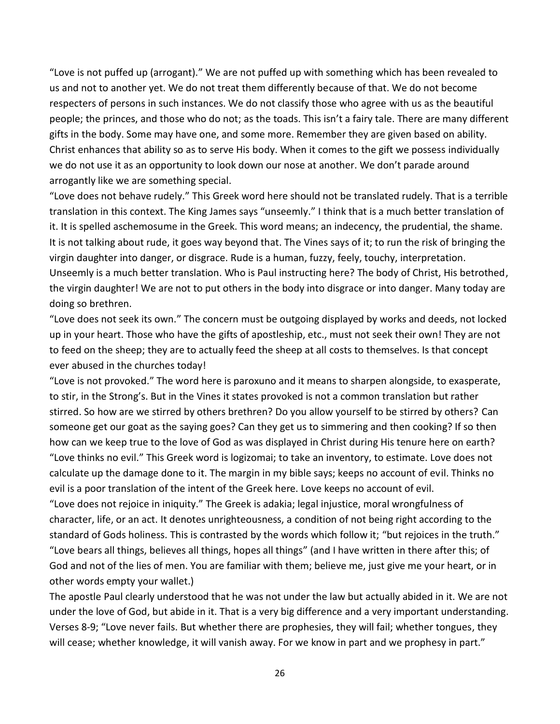"Love is not puffed up (arrogant)." We are not puffed up with something which has been revealed to us and not to another yet. We do not treat them differently because of that. We do not become respecters of persons in such instances. We do not classify those who agree with us as the beautiful people; the princes, and those who do not; as the toads. This isn't a fairy tale. There are many different gifts in the body. Some may have one, and some more. Remember they are given based on ability. Christ enhances that ability so as to serve His body. When it comes to the gift we possess individually we do not use it as an opportunity to look down our nose at another. We don't parade around arrogantly like we are something special.

"Love does not behave rudely." This Greek word here should not be translated rudely. That is a terrible translation in this context. The King James says "unseemly." I think that is a much better translation of it. It is spelled aschemosume in the Greek. This word means; an indecency, the prudential, the shame. It is not talking about rude, it goes way beyond that. The Vines says of it; to run the risk of bringing the virgin daughter into danger, or disgrace. Rude is a human, fuzzy, feely, touchy, interpretation. Unseemly is a much better translation. Who is Paul instructing here? The body of Christ, His betrothed, the virgin daughter! We are not to put others in the body into disgrace or into danger. Many today are doing so brethren.

"Love does not seek its own." The concern must be outgoing displayed by works and deeds, not locked up in your heart. Those who have the gifts of apostleship, etc., must not seek their own! They are not to feed on the sheep; they are to actually feed the sheep at all costs to themselves. Is that concept ever abused in the churches today!

"Love is not provoked." The word here is paroxuno and it means to sharpen alongside, to exasperate, to stir, in the Strong's. But in the Vines it states provoked is not a common translation but rather stirred. So how are we stirred by others brethren? Do you allow yourself to be stirred by others? Can someone get our goat as the saying goes? Can they get us to simmering and then cooking? If so then how can we keep true to the love of God as was displayed in Christ during His tenure here on earth? "Love thinks no evil." This Greek word is logizomai; to take an inventory, to estimate. Love does not calculate up the damage done to it. The margin in my bible says; keeps no account of evil. Thinks no evil is a poor translation of the intent of the Greek here. Love keeps no account of evil.

"Love does not rejoice in iniquity." The Greek is adakia; legal injustice, moral wrongfulness of character, life, or an act. It denotes unrighteousness, a condition of not being right according to the standard of Gods holiness. This is contrasted by the words which follow it; "but rejoices in the truth." "Love bears all things, believes all things, hopes all things" (and I have written in there after this; of God and not of the lies of men. You are familiar with them; believe me, just give me your heart, or in other words empty your wallet.)

The apostle Paul clearly understood that he was not under the law but actually abided in it. We are not under the love of God, but abide in it. That is a very big difference and a very important understanding. Verses 8-9; "Love never fails. But whether there are prophesies, they will fail; whether tongues, they will cease; whether knowledge, it will vanish away. For we know in part and we prophesy in part."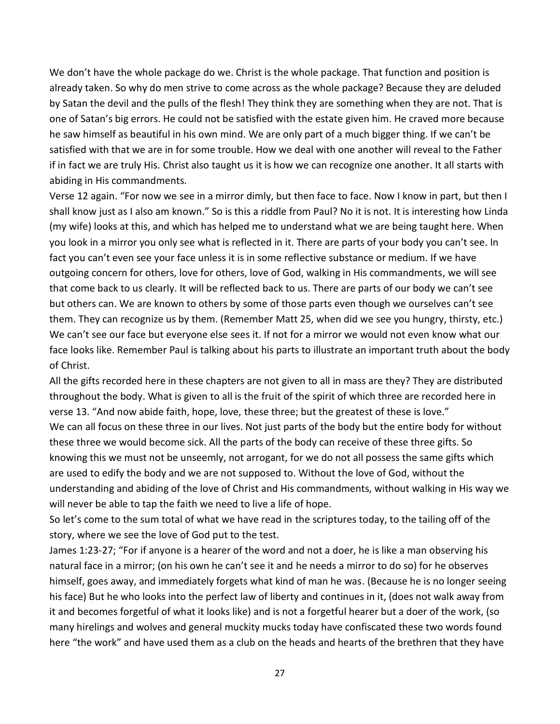We don't have the whole package do we. Christ is the whole package. That function and position is already taken. So why do men strive to come across as the whole package? Because they are deluded by Satan the devil and the pulls of the flesh! They think they are something when they are not. That is one of Satan's big errors. He could not be satisfied with the estate given him. He craved more because he saw himself as beautiful in his own mind. We are only part of a much bigger thing. If we can't be satisfied with that we are in for some trouble. How we deal with one another will reveal to the Father if in fact we are truly His. Christ also taught us it is how we can recognize one another. It all starts with abiding in His commandments.

Verse 12 again. "For now we see in a mirror dimly, but then face to face. Now I know in part, but then I shall know just as I also am known." So is this a riddle from Paul? No it is not. It is interesting how Linda (my wife) looks at this, and which has helped me to understand what we are being taught here. When you look in a mirror you only see what is reflected in it. There are parts of your body you can't see. In fact you can't even see your face unless it is in some reflective substance or medium. If we have outgoing concern for others, love for others, love of God, walking in His commandments, we will see that come back to us clearly. It will be reflected back to us. There are parts of our body we can't see but others can. We are known to others by some of those parts even though we ourselves can't see them. They can recognize us by them. (Remember Matt 25, when did we see you hungry, thirsty, etc.) We can't see our face but everyone else sees it. If not for a mirror we would not even know what our face looks like. Remember Paul is talking about his parts to illustrate an important truth about the body of Christ.

All the gifts recorded here in these chapters are not given to all in mass are they? They are distributed throughout the body. What is given to all is the fruit of the spirit of which three are recorded here in verse 13. "And now abide faith, hope, love, these three; but the greatest of these is love." We can all focus on these three in our lives. Not just parts of the body but the entire body for without these three we would become sick. All the parts of the body can receive of these three gifts. So knowing this we must not be unseemly, not arrogant, for we do not all possess the same gifts which are used to edify the body and we are not supposed to. Without the love of God, without the understanding and abiding of the love of Christ and His commandments, without walking in His way we will never be able to tap the faith we need to live a life of hope.

So let's come to the sum total of what we have read in the scriptures today, to the tailing off of the story, where we see the love of God put to the test.

James 1:23-27; "For if anyone is a hearer of the word and not a doer, he is like a man observing his natural face in a mirror; (on his own he can't see it and he needs a mirror to do so) for he observes himself, goes away, and immediately forgets what kind of man he was. (Because he is no longer seeing his face) But he who looks into the perfect law of liberty and continues in it, (does not walk away from it and becomes forgetful of what it looks like) and is not a forgetful hearer but a doer of the work, (so many hirelings and wolves and general muckity mucks today have confiscated these two words found here "the work" and have used them as a club on the heads and hearts of the brethren that they have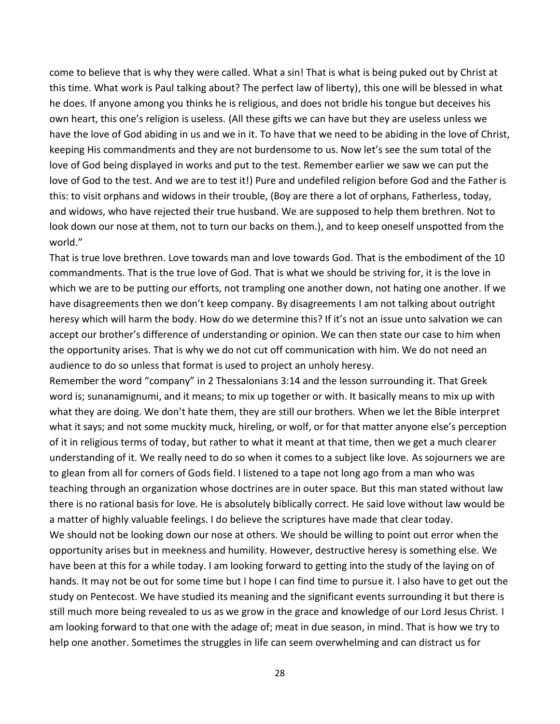come to believe that is why they were called. What a sin! That is what is being puked out by Christ at this time. What work is Paul talking about? The perfect law of liberty), this one will be blessed in what he does. If anyone among you thinks he is religious, and does not bridle his tongue but deceives his own heart, this one's religion is useless. (All these gifts we can have but they are useless unless we have the love of God abiding in us and we in it. To have that we need to be abiding in the love of Christ, keeping His commandments and they are not burdensome to us. Now let's see the sum total of the love of God being displayed in works and put to the test. Remember earlier we saw we can put the love of God to the test. And we are to test it!) Pure and undefiled religion before God and the Father is this: to visit orphans and widows in their trouble, (Boy are there a lot of orphans, Fatherless, today, and widows, who have rejected their true husband. We are supposed to help them brethren. Not to look down our nose at them, not to turn our backs on them.), and to keep oneself unspotted from the world."

That is true love brethren. Love towards man and love towards God. That is the embodiment of the 10 commandments. That is the true love of God. That is what we should be striving for, it is the love in which we are to be putting our efforts, not trampling one another down, not hating one another. If we have disagreements then we don't keep company. By disagreements I am not talking about outright heresy which will harm the body. How do we determine this? If it's not an issue unto salvation we can accept our brother's difference of understanding or opinion. We can then state our case to him when the opportunity arises. That is why we do not cut off communication with him. We do not need an audience to do so unless that format is used to project an unholy heresy.

Remember the word "company" in 2 Thessalonians 3:14 and the lesson surrounding it. That Greek word is; sunanamignumi, and it means; to mix up together or with. It basically means to mix up with what they are doing. We don't hate them, they are still our brothers. When we let the Bible interpret what it says; and not some muckity muck, hireling, or wolf, or for that matter anyone else's perception of it in religious terms of today, but rather to what it meant at that time, then we get a much clearer understanding of it. We really need to do so when it comes to a subject like love. As sojourners we are to glean from all for corners of Gods field. I listened to a tape not long ago from a man who was teaching through an organization whose doctrines are in outer space. But this man stated without law there is no rational basis for love. He is absolutely biblically correct. He said love without law would be a matter of highly valuable feelings. I do believe the scriptures have made that clear today.

We should not be looking down our nose at others. We should be willing to point out error when the opportunity arises but in meekness and humility. However, destructive heresy is something else. We have been at this for a while today. I am looking forward to getting into the study of the laying on of hands. It may not be out for some time but I hope I can find time to pursue it. I also have to get out the study on Pentecost. We have studied its meaning and the significant events surrounding it but there is still much more being revealed to us as we grow in the grace and knowledge of our Lord Jesus Christ. I am looking forward to that one with the adage of; meat in due season, in mind. That is how we try to help one another. Sometimes the struggles in life can seem overwhelming and can distract us for